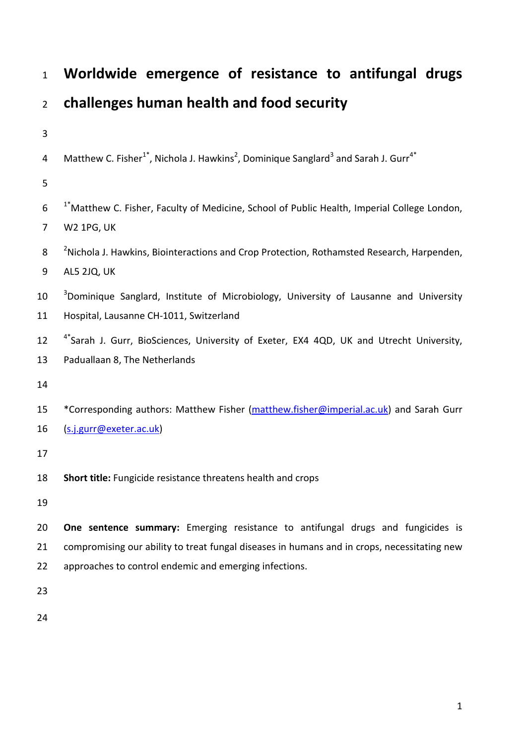| $\mathbf{1}$     | Worldwide emergence of resistance to antifungal drugs                                                                               |
|------------------|-------------------------------------------------------------------------------------------------------------------------------------|
| $\overline{2}$   | challenges human health and food security                                                                                           |
| $\mathbf{3}$     |                                                                                                                                     |
| $\overline{4}$   | Matthew C. Fisher <sup>1*</sup> , Nichola J. Hawkins <sup>2</sup> , Dominique Sanglard <sup>3</sup> and Sarah J. Gurr <sup>4*</sup> |
| 5                |                                                                                                                                     |
| $\boldsymbol{6}$ | <sup>1</sup> *Matthew C. Fisher, Faculty of Medicine, School of Public Health, Imperial College London,                             |
| $\overline{7}$   | <b>W2 1PG, UK</b>                                                                                                                   |
| 8                | <sup>2</sup> Nichola J. Hawkins, Biointeractions and Crop Protection, Rothamsted Research, Harpenden,                               |
| 9                | AL5 2JQ, UK                                                                                                                         |
| 10               | <sup>3</sup> Dominique Sanglard, Institute of Microbiology, University of Lausanne and University                                   |
| 11               | Hospital, Lausanne CH-1011, Switzerland                                                                                             |
| 12               | <sup>4*</sup> Sarah J. Gurr, BioSciences, University of Exeter, EX4 4QD, UK and Utrecht University,                                 |
| 13               | Paduallaan 8, The Netherlands                                                                                                       |
| 14               |                                                                                                                                     |
| 15               | *Corresponding authors: Matthew Fisher (matthew.fisher@imperial.ac.uk) and Sarah Gurr                                               |
| 16               | (s.j.gurr@exeter.ac.uk)                                                                                                             |
| 17               |                                                                                                                                     |
| 18               | Short title: Fungicide resistance threatens health and crops                                                                        |
| 19               |                                                                                                                                     |
| 20               | One sentence summary: Emerging resistance to antifungal drugs and fungicides is                                                     |
| 21               | compromising our ability to treat fungal diseases in humans and in crops, necessitating new                                         |
| 22               | approaches to control endemic and emerging infections.                                                                              |
| 23               |                                                                                                                                     |
| 24               |                                                                                                                                     |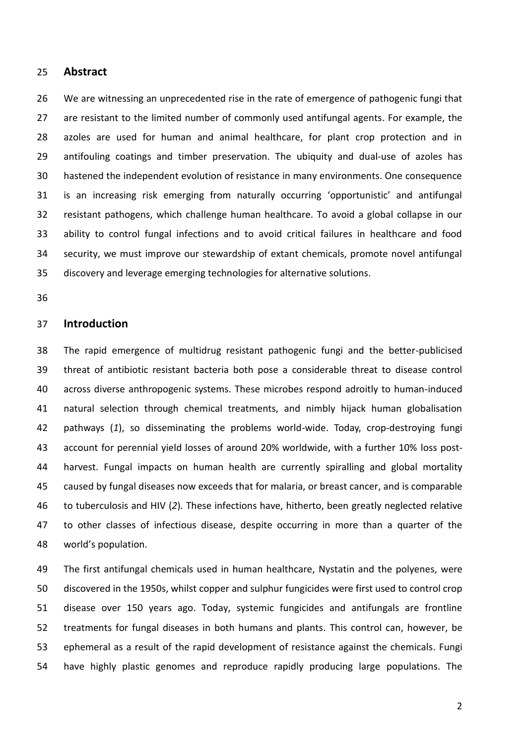#### **Abstract**

 We are witnessing an unprecedented rise in the rate of emergence of pathogenic fungi that are resistant to the limited number of commonly used antifungal agents. For example, the azoles are used for human and animal healthcare, for plant crop protection and in antifouling coatings and timber preservation. The ubiquity and dual-use of azoles has hastened the independent evolution of resistance in many environments. One consequence is an increasing risk emerging from naturally occurring 'opportunistic' and antifungal resistant pathogens, which challenge human healthcare. To avoid a global collapse in our ability to control fungal infections and to avoid critical failures in healthcare and food security, we must improve our stewardship of extant chemicals, promote novel antifungal discovery and leverage emerging technologies for alternative solutions.

# **Introduction**

 The rapid emergence of multidrug resistant pathogenic fungi and the better-publicised threat of antibiotic resistant bacteria both pose a considerable threat to disease control across diverse anthropogenic systems. These microbes respond adroitly to human-induced natural selection through chemical treatments, and nimbly hijack human globalisation pathways (*1*), so disseminating the problems world-wide. Today, crop-destroying fungi account for perennial yield losses of around 20% worldwide, with a further 10% loss post- harvest. Fungal impacts on human health are currently spiralling and global mortality caused by fungal diseases now exceeds that for malaria, or breast cancer, and is comparable to tuberculosis and HIV (*2*). These infections have, hitherto, been greatly neglected relative to other classes of infectious disease, despite occurring in more than a quarter of the world's population.

 The first antifungal chemicals used in human healthcare, Nystatin and the polyenes, were discovered in the 1950s, whilst copper and sulphur fungicides were first used to control crop disease over 150 years ago. Today, systemic fungicides and antifungals are frontline treatments for fungal diseases in both humans and plants. This control can, however, be ephemeral as a result of the rapid development of resistance against the chemicals. Fungi have highly plastic genomes and reproduce rapidly producing large populations. The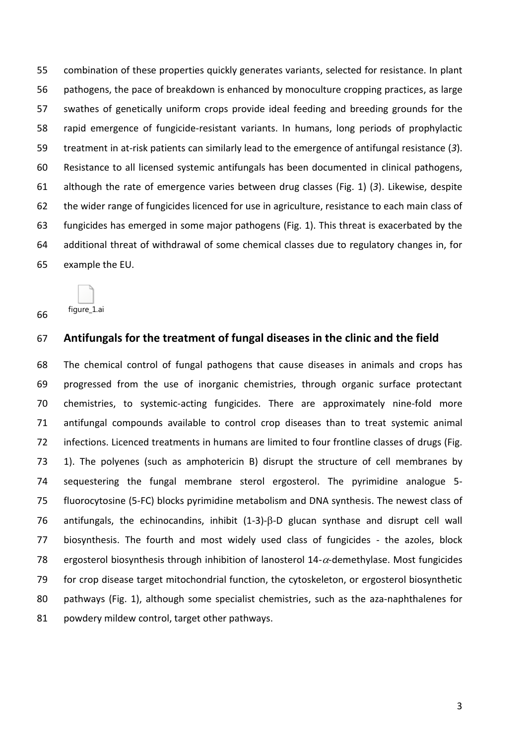combination of these properties quickly generates variants, selected for resistance. In plant pathogens, the pace of breakdown is enhanced by monoculture cropping practices, as large swathes of genetically uniform crops provide ideal feeding and breeding grounds for the rapid emergence of fungicide-resistant variants. In humans, long periods of prophylactic treatment in at-risk patients can similarly lead to the emergence of antifungal resistance (*3*). Resistance to all licensed systemic antifungals has been documented in clinical pathogens, although the rate of emergence varies between drug classes (Fig. 1) (*3*). Likewise, despite the wider range of fungicides licenced for use in agriculture, resistance to each main class of fungicides has emerged in some major pathogens (Fig. 1). This threat is exacerbated by the additional threat of withdrawal of some chemical classes due to regulatory changes in, for example the EU.

figure\_1.ai 

# **Antifungals for the treatment of fungal diseases in the clinic and the field**

 The chemical control of fungal pathogens that cause diseases in animals and crops has progressed from the use of inorganic chemistries, through organic surface protectant chemistries, to systemic-acting fungicides. There are approximately nine-fold more antifungal compounds available to control crop diseases than to treat systemic animal infections. Licenced treatments in humans are limited to four frontline classes of drugs (Fig. 1). The polyenes (such as amphotericin B) disrupt the structure of cell membranes by sequestering the fungal membrane sterol ergosterol. The pyrimidine analogue 5- fluorocytosine (5-FC) blocks pyrimidine metabolism and DNA synthesis. The newest class of 76 antifungals, the echinocandins, inhibit  $(1-3)-\beta$ -D glucan synthase and disrupt cell wall biosynthesis. The fourth and most widely used class of fungicides - the azoles, block 78 ergosterol biosynthesis through inhibition of lanosterol  $14-\alpha$ -demethylase. Most fungicides for crop disease target mitochondrial function, the cytoskeleton, or ergosterol biosynthetic pathways (Fig. 1), although some specialist chemistries, such as the aza-naphthalenes for 81 powdery mildew control, target other pathways.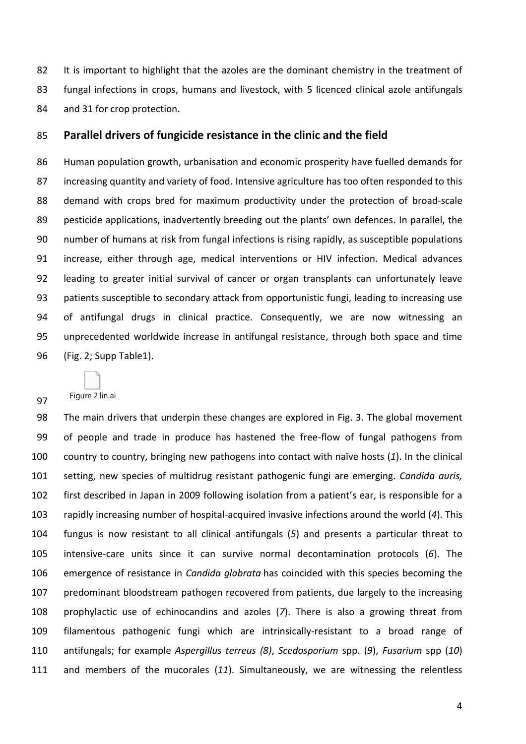82 It is important to highlight that the azoles are the dominant chemistry in the treatment of fungal infections in crops, humans and livestock, with 5 licenced clinical azole antifungals and 31 for crop protection.

## **Parallel drivers of fungicide resistance in the clinic and the field**

 Human population growth, urbanisation and economic prosperity have fuelled demands for increasing quantity and variety of food. Intensive agriculture has too often responded to this demand with crops bred for maximum productivity under the protection of broad-scale pesticide applications, inadvertently breeding out the plants' own defences. In parallel, the number of humans at risk from fungal infections is rising rapidly, as susceptible populations increase, either through age, medical interventions or HIV infection. Medical advances leading to greater initial survival of cancer or organ transplants can unfortunately leave patients susceptible to secondary attack from opportunistic fungi, leading to increasing use of antifungal drugs in clinical practice. Consequently, we are now witnessing an unprecedented worldwide increase in antifungal resistance, through both space and time (Fig. 2; Supp Table1).

 The main drivers that underpin these changes are explored in Fig. 3. The global movement

Figure 2 lin.ai

 of people and trade in produce has hastened the free-flow of fungal pathogens from country to country, bringing new pathogens into contact with naïve hosts (*1*). In the clinical setting, new species of multidrug resistant pathogenic fungi are emerging. *Candida auris,*  first described in Japan in 2009 following isolation from a patient's ear, is responsible for a rapidly increasing number of hospital-acquired invasive infections around the world (*4*). This fungus is now resistant to all clinical antifungals (*5*) and presents a particular threat to intensive-care units since it can survive normal decontamination protocols (*6*). The emergence of resistance in *Candida glabrata* has coincided with this species becoming the predominant bloodstream pathogen recovered from patients, due largely to the increasing prophylactic use of echinocandins and azoles (*7*). There is also a growing threat from filamentous pathogenic fungi which are intrinsically-resistant to a broad range of antifungals; for example *Aspergillus terreus (8)*, *Scedosporium* spp. (*9*), *Fusarium* spp (*10*) and members of the mucorales (*11*). Simultaneously, we are witnessing the relentless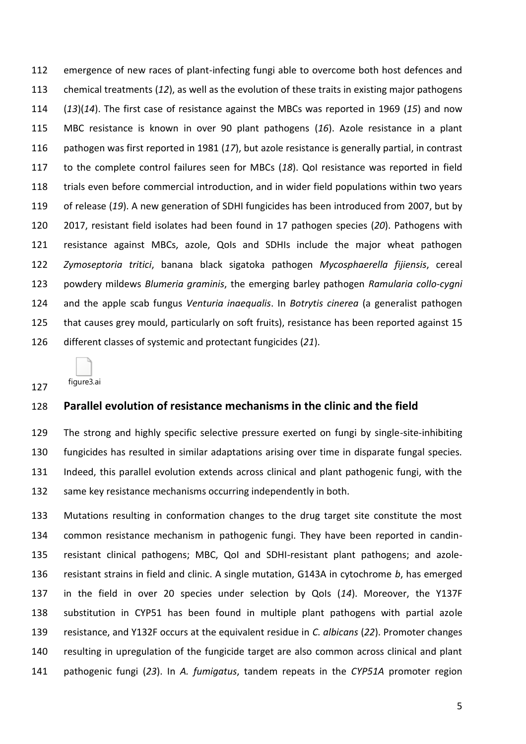emergence of new races of plant-infecting fungi able to overcome both host defences and chemical treatments (*12*), as well as the evolution of these traits in existing major pathogens (*13*)(*14*). The first case of resistance against the MBCs was reported in 1969 (*15*) and now MBC resistance is known in over 90 plant pathogens (*16*). Azole resistance in a plant pathogen was first reported in 1981 (*17*), but azole resistance is generally partial, in contrast to the complete control failures seen for MBCs (*18*). QoI resistance was reported in field trials even before commercial introduction, and in wider field populations within two years of release (*19*). A new generation of SDHI fungicides has been introduced from 2007, but by 2017, resistant field isolates had been found in 17 pathogen species (*20*). Pathogens with resistance against MBCs, azole, QoIs and SDHIs include the major wheat pathogen *Zymoseptoria tritici*, banana black sigatoka pathogen *Mycosphaerella fijiensis*, cereal powdery mildews *Blumeria graminis*, the emerging barley pathogen *Ramularia collo-cygni* and the apple scab fungus *Venturia inaequalis*. In *Botrytis cinerea* (a generalist pathogen that causes grey mould, particularly on soft fruits), resistance has been reported against 15 different classes of systemic and protectant fungicides (*21*).

figure3.ai

## **Parallel evolution of resistance mechanisms in the clinic and the field**

 The strong and highly specific selective pressure exerted on fungi by single-site-inhibiting fungicides has resulted in similar adaptations arising over time in disparate fungal species. Indeed, this parallel evolution extends across clinical and plant pathogenic fungi, with the same key resistance mechanisms occurring independently in both.

 Mutations resulting in conformation changes to the drug target site constitute the most common resistance mechanism in pathogenic fungi. They have been reported in candin- resistant clinical pathogens; MBC, QoI and SDHI-resistant plant pathogens; and azole- resistant strains in field and clinic. A single mutation, G143A in cytochrome *b*, has emerged in the field in over 20 species under selection by QoIs (*14*). Moreover, the Y137F substitution in CYP51 has been found in multiple plant pathogens with partial azole resistance, and Y132F occurs at the equivalent residue in *C. albicans* (*22*). Promoter changes resulting in upregulation of the fungicide target are also common across clinical and plant pathogenic fungi (*23*). In *A. fumigatus*, tandem repeats in the *CYP51A* promoter region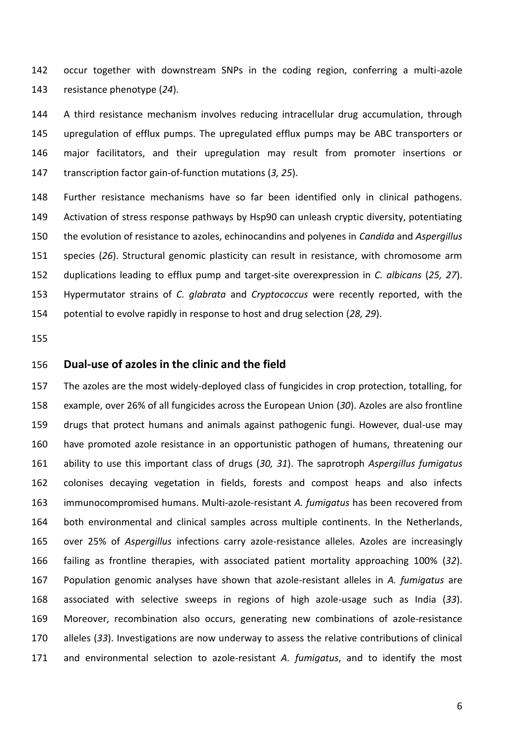occur together with downstream SNPs in the coding region, conferring a multi-azole resistance phenotype (*24*).

 A third resistance mechanism involves reducing intracellular drug accumulation, through upregulation of efflux pumps. The upregulated efflux pumps may be ABC transporters or major facilitators, and their upregulation may result from promoter insertions or transcription factor gain-of-function mutations (*3, 25*).

 Further resistance mechanisms have so far been identified only in clinical pathogens. Activation of stress response pathways by Hsp90 can unleash cryptic diversity, potentiating the evolution of resistance to azoles, echinocandins and polyenes in *Candida* and *Aspergillus*  species (*26*). Structural genomic plasticity can result in resistance, with chromosome arm duplications leading to efflux pump and target-site overexpression in *C. albicans* (*25, 27*). Hypermutator strains of *C. glabrata* and *Cryptococcus* were recently reported, with the potential to evolve rapidly in response to host and drug selection (*28, 29*).

# **Dual-use of azoles in the clinic and the field**

 The azoles are the most widely-deployed class of fungicides in crop protection, totalling, for example, over 26% of all fungicides across the European Union (*30*). Azoles are also frontline drugs that protect humans and animals against pathogenic fungi. However, dual-use may have promoted azole resistance in an opportunistic pathogen of humans, threatening our ability to use this important class of drugs (*30, 31*). The saprotroph *Aspergillus fumigatus* colonises decaying vegetation in fields, forests and compost heaps and also infects immunocompromised humans. Multi-azole-resistant *A. fumigatus* has been recovered from both environmental and clinical samples across multiple continents. In the Netherlands, over 25% of *Aspergillus* infections carry azole-resistance alleles. Azoles are increasingly failing as frontline therapies, with associated patient mortality approaching 100% (*32*). Population genomic analyses have shown that azole-resistant alleles in *A. fumigatus* are associated with selective sweeps in regions of high azole-usage such as India (*33*). Moreover, recombination also occurs, generating new combinations of azole-resistance alleles (*33*). Investigations are now underway to assess the relative contributions of clinical and environmental selection to azole-resistant *A. fumigatus*, and to identify the most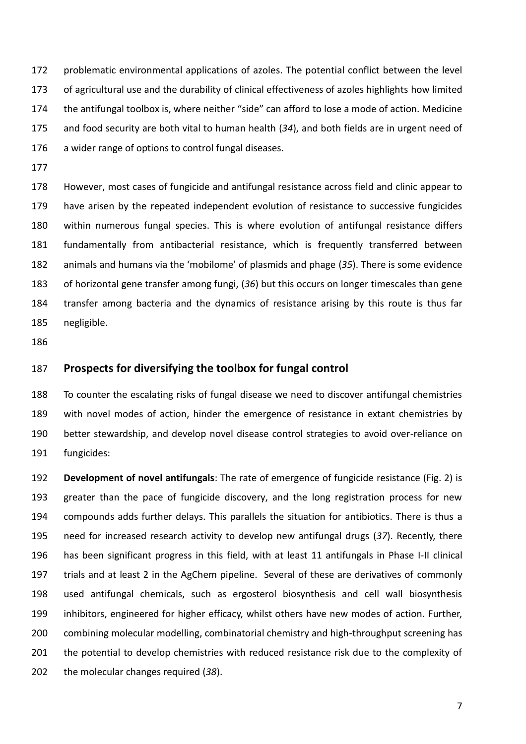problematic environmental applications of azoles. The potential conflict between the level of agricultural use and the durability of clinical effectiveness of azoles highlights how limited the antifungal toolbox is, where neither "side" can afford to lose a mode of action. Medicine and food security are both vital to human health (*34*), and both fields are in urgent need of a wider range of options to control fungal diseases.

 However, most cases of fungicide and antifungal resistance across field and clinic appear to have arisen by the repeated independent evolution of resistance to successive fungicides within numerous fungal species. This is where evolution of antifungal resistance differs fundamentally from antibacterial resistance, which is frequently transferred between animals and humans via the 'mobilome' of plasmids and phage (*35*). There is some evidence of horizontal gene transfer among fungi, (*36*) but this occurs on longer timescales than gene transfer among bacteria and the dynamics of resistance arising by this route is thus far negligible.

# **Prospects for diversifying the toolbox for fungal control**

 To counter the escalating risks of fungal disease we need to discover antifungal chemistries with novel modes of action, hinder the emergence of resistance in extant chemistries by better stewardship, and develop novel disease control strategies to avoid over-reliance on fungicides:

 **Development of novel antifungals**: The rate of emergence of fungicide resistance (Fig. 2) is greater than the pace of fungicide discovery, and the long registration process for new compounds adds further delays. This parallels the situation for antibiotics. There is thus a need for increased research activity to develop new antifungal drugs (*37*). Recently, there has been significant progress in this field, with at least 11 antifungals in Phase I-II clinical trials and at least 2 in the AgChem pipeline. Several of these are derivatives of commonly used antifungal chemicals, such as ergosterol biosynthesis and cell wall biosynthesis inhibitors, engineered for higher efficacy, whilst others have new modes of action. Further, combining molecular modelling, combinatorial chemistry and high-throughput screening has 201 the potential to develop chemistries with reduced resistance risk due to the complexity of the molecular changes required (*38*).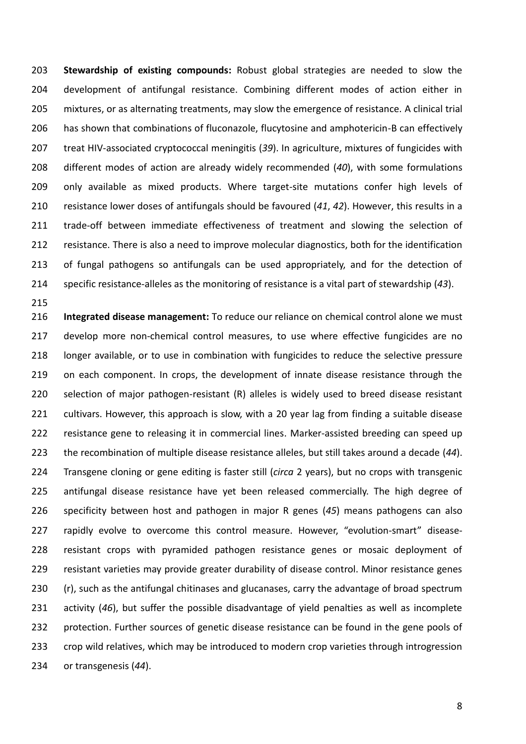**Stewardship of existing compounds:** Robust global strategies are needed to slow the development of antifungal resistance. Combining different modes of action either in mixtures, or as alternating treatments, may slow the emergence of resistance. A clinical trial has shown that combinations of fluconazole, flucytosine and amphotericin-B can effectively treat HIV-associated cryptococcal meningitis (*39*). In agriculture, mixtures of fungicides with different modes of action are already widely recommended (*40*), with some formulations 209 only available as mixed products. Where target-site mutations confer high levels of resistance lower doses of antifungals should be favoured (*41*, *42*). However, this results in a 211 trade-off between immediate effectiveness of treatment and slowing the selection of resistance. There is also a need to improve molecular diagnostics, both for the identification of fungal pathogens so antifungals can be used appropriately, and for the detection of specific resistance-alleles as the monitoring of resistance is a vital part of stewardship (*43*).

 **Integrated disease management:** To reduce our reliance on chemical control alone we must develop more non-chemical control measures, to use where effective fungicides are no longer available, or to use in combination with fungicides to reduce the selective pressure 219 on each component. In crops, the development of innate disease resistance through the selection of major pathogen-resistant (R) alleles is widely used to breed disease resistant cultivars. However, this approach is slow, with a 20 year lag from finding a suitable disease 222 resistance gene to releasing it in commercial lines. Marker-assisted breeding can speed up the recombination of multiple disease resistance alleles, but still takes around a decade (*44*). Transgene cloning or gene editing is faster still (*circa* 2 years), but no crops with transgenic antifungal disease resistance have yet been released commercially. The high degree of specificity between host and pathogen in major R genes (*45*) means pathogens can also rapidly evolve to overcome this control measure. However, "evolution-smart" disease- resistant crops with pyramided pathogen resistance genes or mosaic deployment of resistant varieties may provide greater durability of disease control. Minor resistance genes 230 (r), such as the antifungal chitinases and glucanases, carry the advantage of broad spectrum activity (*46*), but suffer the possible disadvantage of yield penalties as well as incomplete 232 protection. Further sources of genetic disease resistance can be found in the gene pools of crop wild relatives, which may be introduced to modern crop varieties through introgression or transgenesis (*44*).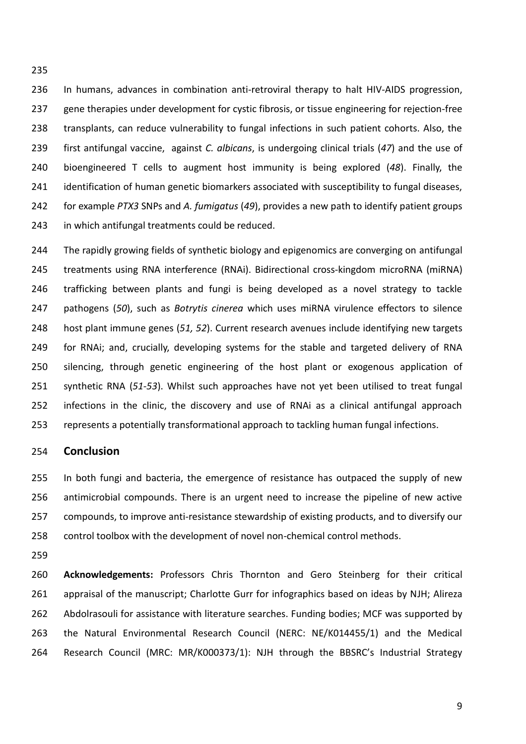In humans, advances in combination anti-retroviral therapy to halt HIV-AIDS progression, 237 gene therapies under development for cystic fibrosis, or tissue engineering for rejection-free transplants, can reduce vulnerability to fungal infections in such patient cohorts. Also, the first antifungal vaccine, against *C. albicans*, is undergoing clinical trials (*47*) and the use of bioengineered T cells to augment host immunity is being explored (*48*). Finally, the 241 identification of human genetic biomarkers associated with susceptibility to fungal diseases, for example *PTX3* SNPs and *A. fumigatus* (*49*), provides a new path to identify patient groups in which antifungal treatments could be reduced.

 The rapidly growing fields of synthetic biology and epigenomics are converging on antifungal treatments using RNA interference (RNAi). Bidirectional cross-kingdom microRNA (miRNA) trafficking between plants and fungi is being developed as a novel strategy to tackle pathogens (*50*), such as *Botrytis cinerea* which uses miRNA virulence effectors to silence host plant immune genes (*51, 52*). Current research avenues include identifying new targets for RNAi; and, crucially, developing systems for the stable and targeted delivery of RNA silencing, through genetic engineering of the host plant or exogenous application of synthetic RNA (*51-53*). Whilst such approaches have not yet been utilised to treat fungal infections in the clinic, the discovery and use of RNAi as a clinical antifungal approach represents a potentially transformational approach to tackling human fungal infections.

## **Conclusion**

 In both fungi and bacteria, the emergence of resistance has outpaced the supply of new antimicrobial compounds. There is an urgent need to increase the pipeline of new active compounds, to improve anti-resistance stewardship of existing products, and to diversify our control toolbox with the development of novel non-chemical control methods.

 **Acknowledgements:** Professors Chris Thornton and Gero Steinberg for their critical appraisal of the manuscript; Charlotte Gurr for infographics based on ideas by NJH; Alireza 262 Abdolrasouli for assistance with literature searches. Funding bodies; MCF was supported by the Natural Environmental Research Council (NERC: NE/K014455/1) and the Medical Research Council (MRC: MR/K000373/1): NJH through the BBSRC's Industrial Strategy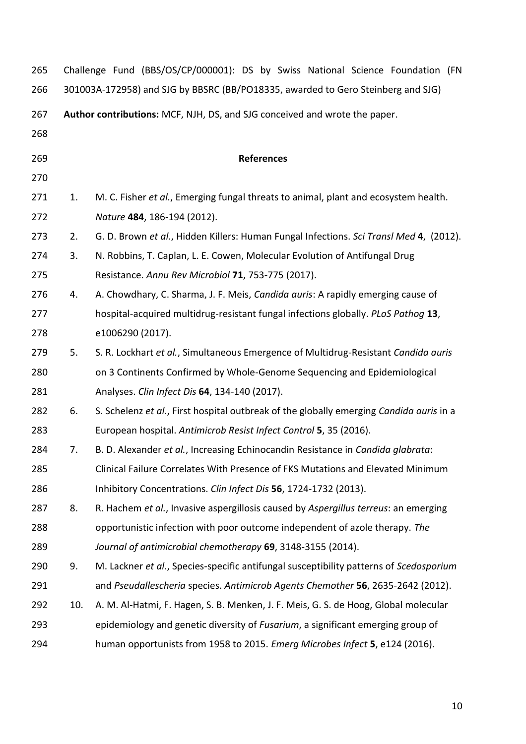| 265 | Challenge Fund (BBS/OS/CP/000001): DS by Swiss National Science Foundation (FN   |                                                                                         |  |  |  |  |
|-----|----------------------------------------------------------------------------------|-----------------------------------------------------------------------------------------|--|--|--|--|
| 266 | 301003A-172958) and SJG by BBSRC (BB/PO18335, awarded to Gero Steinberg and SJG) |                                                                                         |  |  |  |  |
| 267 | Author contributions: MCF, NJH, DS, and SJG conceived and wrote the paper.       |                                                                                         |  |  |  |  |
| 268 |                                                                                  |                                                                                         |  |  |  |  |
| 269 |                                                                                  | <b>References</b>                                                                       |  |  |  |  |
| 270 |                                                                                  |                                                                                         |  |  |  |  |
| 271 | 1.                                                                               | M. C. Fisher et al., Emerging fungal threats to animal, plant and ecosystem health.     |  |  |  |  |
| 272 |                                                                                  | Nature 484, 186-194 (2012).                                                             |  |  |  |  |
| 273 | 2.                                                                               | G. D. Brown et al., Hidden Killers: Human Fungal Infections. Sci Transl Med 4, (2012).  |  |  |  |  |
| 274 | 3.                                                                               | N. Robbins, T. Caplan, L. E. Cowen, Molecular Evolution of Antifungal Drug              |  |  |  |  |
| 275 |                                                                                  | Resistance. Annu Rev Microbiol 71, 753-775 (2017).                                      |  |  |  |  |
| 276 | 4.                                                                               | A. Chowdhary, C. Sharma, J. F. Meis, Candida auris: A rapidly emerging cause of         |  |  |  |  |
| 277 |                                                                                  | hospital-acquired multidrug-resistant fungal infections globally. PLoS Pathog 13,       |  |  |  |  |
| 278 |                                                                                  | e1006290 (2017).                                                                        |  |  |  |  |
| 279 | 5.                                                                               | S. R. Lockhart et al., Simultaneous Emergence of Multidrug-Resistant Candida auris      |  |  |  |  |
| 280 |                                                                                  | on 3 Continents Confirmed by Whole-Genome Sequencing and Epidemiological                |  |  |  |  |
| 281 |                                                                                  | Analyses. Clin Infect Dis 64, 134-140 (2017).                                           |  |  |  |  |
| 282 | 6.                                                                               | S. Schelenz et al., First hospital outbreak of the globally emerging Candida auris in a |  |  |  |  |
| 283 |                                                                                  | European hospital. Antimicrob Resist Infect Control 5, 35 (2016).                       |  |  |  |  |
| 284 | 7.                                                                               | B. D. Alexander et al., Increasing Echinocandin Resistance in Candida glabrata:         |  |  |  |  |
| 285 |                                                                                  | Clinical Failure Correlates With Presence of FKS Mutations and Elevated Minimum         |  |  |  |  |
| 286 |                                                                                  | Inhibitory Concentrations. Clin Infect Dis 56, 1724-1732 (2013).                        |  |  |  |  |
| 287 | 8.                                                                               | R. Hachem et al., Invasive aspergillosis caused by Aspergillus terreus: an emerging     |  |  |  |  |
| 288 |                                                                                  | opportunistic infection with poor outcome independent of azole therapy. The             |  |  |  |  |
| 289 |                                                                                  | Journal of antimicrobial chemotherapy 69, 3148-3155 (2014).                             |  |  |  |  |
| 290 | 9.                                                                               | M. Lackner et al., Species-specific antifungal susceptibility patterns of Scedosporium  |  |  |  |  |
| 291 |                                                                                  | and Pseudallescheria species. Antimicrob Agents Chemother 56, 2635-2642 (2012).         |  |  |  |  |
| 292 | 10.                                                                              | A. M. Al-Hatmi, F. Hagen, S. B. Menken, J. F. Meis, G. S. de Hoog, Global molecular     |  |  |  |  |
| 293 |                                                                                  | epidemiology and genetic diversity of <i>Fusarium</i> , a significant emerging group of |  |  |  |  |
| 294 |                                                                                  | human opportunists from 1958 to 2015. Emerg Microbes Infect 5, e124 (2016).             |  |  |  |  |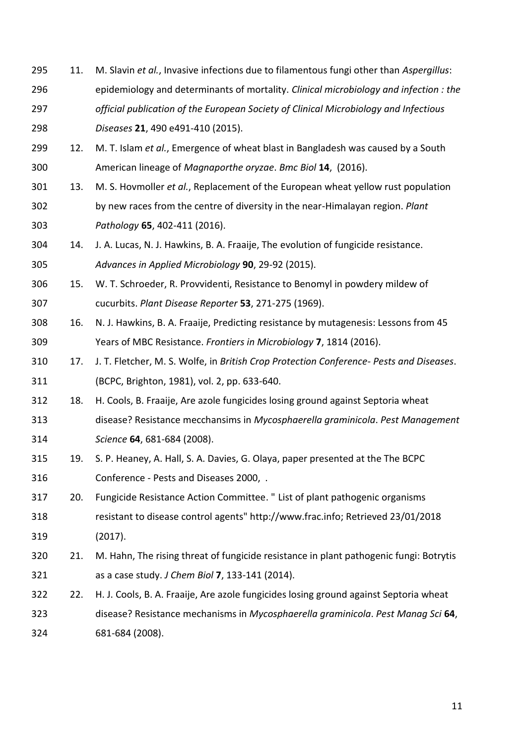- 11. M. Slavin *et al.*, Invasive infections due to filamentous fungi other than *Aspergillus*: epidemiology and determinants of mortality. *Clinical microbiology and infection : the official publication of the European Society of Clinical Microbiology and Infectious Diseases* **21**, 490 e491-410 (2015).
- 12. M. T. Islam *et al.*, Emergence of wheat blast in Bangladesh was caused by a South American lineage of *Magnaporthe oryzae*. *Bmc Biol* **14**, (2016).
- 13. M. S. Hovmoller *et al.*, Replacement of the European wheat yellow rust population by new races from the centre of diversity in the near-Himalayan region. *Plant Pathology* **65**, 402-411 (2016).
- 14. J. A. Lucas, N. J. Hawkins, B. A. Fraaije, The evolution of fungicide resistance. *Advances in Applied Microbiology* **90**, 29-92 (2015).
- 15. W. T. Schroeder, R. Provvidenti, Resistance to Benomyl in powdery mildew of cucurbits. *Plant Disease Reporter* **53**, 271-275 (1969).
- 16. N. J. Hawkins, B. A. Fraaije, Predicting resistance by mutagenesis: Lessons from 45 Years of MBC Resistance. *Frontiers in Microbiology* **7**, 1814 (2016).
- 17. J. T. Fletcher, M. S. Wolfe, in *British Crop Protection Conference- Pests and Diseases*. (BCPC, Brighton, 1981), vol. 2, pp. 633-640.
- 18. H. Cools, B. Fraaije, Are azole fungicides losing ground against Septoria wheat
- disease? Resistance mecchansims in *Mycosphaerella graminicola*. *Pest Management Science* **64**, 681-684 (2008).
- 19. S. P. Heaney, A. Hall, S. A. Davies, G. Olaya, paper presented at the The BCPC Conference - Pests and Diseases 2000, .
- 20. Fungicide Resistance Action Committee. " List of plant pathogenic organisms resistant to disease control agents" http://www.frac.info; Retrieved 23/01/2018 (2017).
- 21. M. Hahn, The rising threat of fungicide resistance in plant pathogenic fungi: Botrytis as a case study. *J Chem Biol* **7**, 133-141 (2014).
- 22. H. J. Cools, B. A. Fraaije, Are azole fungicides losing ground against Septoria wheat disease? Resistance mechanisms in *Mycosphaerella graminicola*. *Pest Manag Sci* **64**, 681-684 (2008).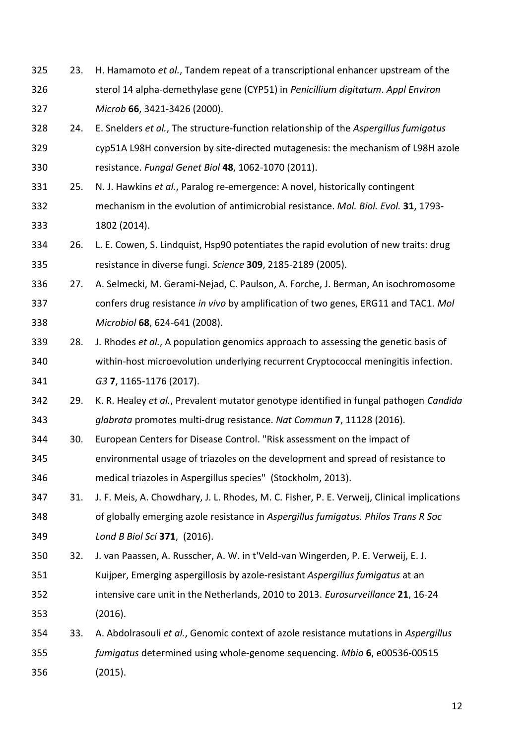- 23. H. Hamamoto *et al.*, Tandem repeat of a transcriptional enhancer upstream of the sterol 14 alpha-demethylase gene (CYP51) in *Penicillium digitatum*. *Appl Environ Microb* **66**, 3421-3426 (2000).
- 24. E. Snelders *et al.*, The structure-function relationship of the *Aspergillus fumigatus* cyp51A L98H conversion by site-directed mutagenesis: the mechanism of L98H azole resistance. *Fungal Genet Biol* **48**, 1062-1070 (2011).
- 25. N. J. Hawkins *et al.*, Paralog re-emergence: A novel, historically contingent mechanism in the evolution of antimicrobial resistance. *Mol. Biol. Evol.* **31**, 1793- 1802 (2014).
- 26. L. E. Cowen, S. Lindquist, Hsp90 potentiates the rapid evolution of new traits: drug resistance in diverse fungi. *Science* **309**, 2185-2189 (2005).
- 27. A. Selmecki, M. Gerami-Nejad, C. Paulson, A. Forche, J. Berman, An isochromosome confers drug resistance *in vivo* by amplification of two genes, ERG11 and TAC1. *Mol Microbiol* **68**, 624-641 (2008).
- 28. J. Rhodes *et al.*, A population genomics approach to assessing the genetic basis of within-host microevolution underlying recurrent Cryptococcal meningitis infection. *G3* **7**, 1165-1176 (2017).
- 29. K. R. Healey *et al.*, Prevalent mutator genotype identified in fungal pathogen *Candida glabrata* promotes multi-drug resistance. *Nat Commun* **7**, 11128 (2016).
- 30. European Centers for Disease Control. "Risk assessment on the impact of environmental usage of triazoles on the development and spread of resistance to medical triazoles in Aspergillus species" (Stockholm, 2013).
- 31. J. F. Meis, A. Chowdhary, J. L. Rhodes, M. C. Fisher, P. E. Verweij, Clinical implications of globally emerging azole resistance in *Aspergillus fumigatus. Philos Trans R Soc Lond B Biol Sci* **371**, (2016).
- 32. J. van Paassen, A. Russcher, A. W. in t'Veld-van Wingerden, P. E. Verweij, E. J.
- Kuijper, Emerging aspergillosis by azole-resistant *Aspergillus fumigatus* at an intensive care unit in the Netherlands, 2010 to 2013. *Eurosurveillance* **21**, 16-24 (2016).
- 33. A. Abdolrasouli *et al.*, Genomic context of azole resistance mutations in *Aspergillus fumigatus* determined using whole-genome sequencing. *Mbio* **6**, e00536-00515 (2015).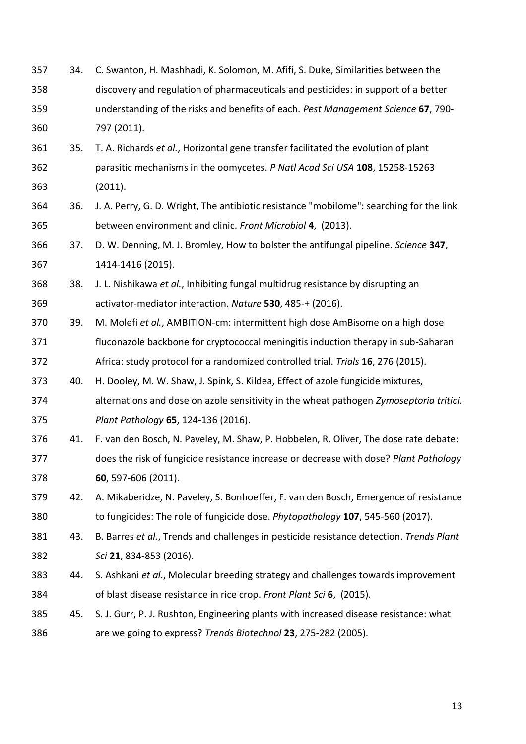34. C. Swanton, H. Mashhadi, K. Solomon, M. Afifi, S. Duke, Similarities between the discovery and regulation of pharmaceuticals and pesticides: in support of a better understanding of the risks and benefits of each. *Pest Management Science* **67**, 790- 797 (2011). 35. T. A. Richards *et al.*, Horizontal gene transfer facilitated the evolution of plant parasitic mechanisms in the oomycetes. *P Natl Acad Sci USA* **108**, 15258-15263 (2011). 36. J. A. Perry, G. D. Wright, The antibiotic resistance "mobilome": searching for the link between environment and clinic. *Front Microbiol* **4**, (2013). 37. D. W. Denning, M. J. Bromley, How to bolster the antifungal pipeline. *Science* **347**, 1414-1416 (2015). 38. J. L. Nishikawa *et al.*, Inhibiting fungal multidrug resistance by disrupting an activator-mediator interaction. *Nature* **530**, 485-+ (2016). 39. M. Molefi *et al.*, AMBITION-cm: intermittent high dose AmBisome on a high dose fluconazole backbone for cryptococcal meningitis induction therapy in sub-Saharan Africa: study protocol for a randomized controlled trial. *Trials* **16**, 276 (2015). 40. H. Dooley, M. W. Shaw, J. Spink, S. Kildea, Effect of azole fungicide mixtures, alternations and dose on azole sensitivity in the wheat pathogen *Zymoseptoria tritici*. *Plant Pathology* **65**, 124-136 (2016). 41. F. van den Bosch, N. Paveley, M. Shaw, P. Hobbelen, R. Oliver, The dose rate debate: does the risk of fungicide resistance increase or decrease with dose? *Plant Pathology* **60**, 597-606 (2011). 42. A. Mikaberidze, N. Paveley, S. Bonhoeffer, F. van den Bosch, Emergence of resistance to fungicides: The role of fungicide dose. *Phytopathology* **107**, 545-560 (2017). 43. B. Barres *et al.*, Trends and challenges in pesticide resistance detection. *Trends Plant Sci* **21**, 834-853 (2016). 44. S. Ashkani *et al.*, Molecular breeding strategy and challenges towards improvement of blast disease resistance in rice crop. *Front Plant Sci* **6**, (2015). 45. S. J. Gurr, P. J. Rushton, Engineering plants with increased disease resistance: what are we going to express? *Trends Biotechnol* **23**, 275-282 (2005).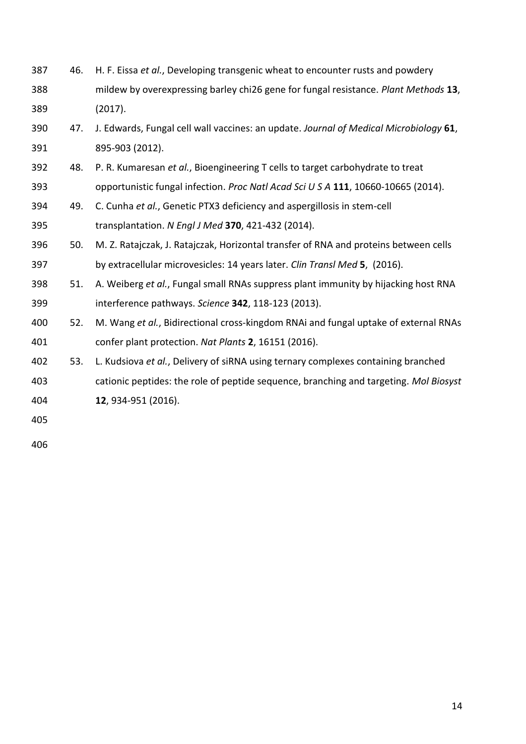46. H. F. Eissa *et al.*, Developing transgenic wheat to encounter rusts and powdery mildew by overexpressing barley chi26 gene for fungal resistance. *Plant Methods* **13**, (2017). 47. J. Edwards, Fungal cell wall vaccines: an update. *Journal of Medical Microbiology* **61**, 895-903 (2012). 48. P. R. Kumaresan *et al.*, Bioengineering T cells to target carbohydrate to treat opportunistic fungal infection. *Proc Natl Acad Sci U S A* **111**, 10660-10665 (2014). 49. C. Cunha *et al.*, Genetic PTX3 deficiency and aspergillosis in stem-cell transplantation. *N Engl J Med* **370**, 421-432 (2014). 50. M. Z. Ratajczak, J. Ratajczak, Horizontal transfer of RNA and proteins between cells by extracellular microvesicles: 14 years later. *Clin Transl Med* **5**, (2016). 51. A. Weiberg *et al.*, Fungal small RNAs suppress plant immunity by hijacking host RNA interference pathways. *Science* **342**, 118-123 (2013). 52. M. Wang *et al.*, Bidirectional cross-kingdom RNAi and fungal uptake of external RNAs confer plant protection. *Nat Plants* **2**, 16151 (2016). 53. L. Kudsiova *et al.*, Delivery of siRNA using ternary complexes containing branched cationic peptides: the role of peptide sequence, branching and targeting. *Mol Biosyst* **12**, 934-951 (2016).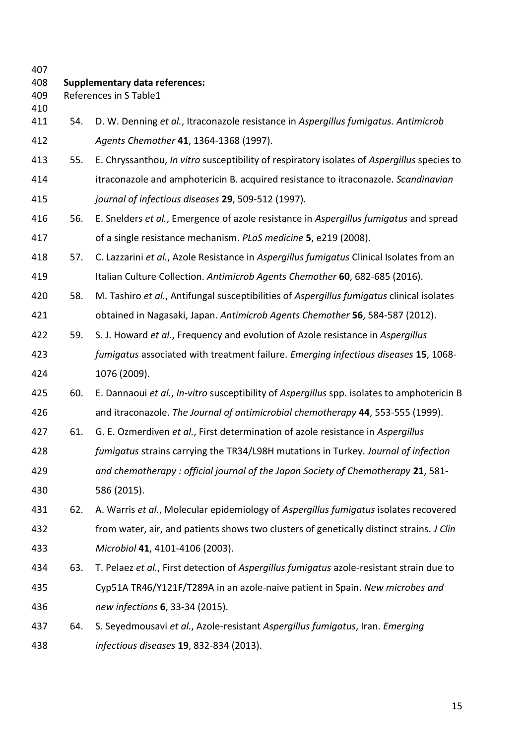| 407<br>408<br>409<br>410 |     | <b>Supplementary data references:</b><br>References in S Table1                            |
|--------------------------|-----|--------------------------------------------------------------------------------------------|
| 411                      | 54. | D. W. Denning et al., Itraconazole resistance in Aspergillus fumigatus. Antimicrob         |
| 412                      |     | Agents Chemother 41, 1364-1368 (1997).                                                     |
| 413                      | 55. | E. Chryssanthou, In vitro susceptibility of respiratory isolates of Aspergillus species to |
| 414                      |     | itraconazole and amphotericin B. acquired resistance to itraconazole. Scandinavian         |
| 415                      |     | journal of infectious diseases 29, 509-512 (1997).                                         |
| 416                      | 56. | E. Snelders et al., Emergence of azole resistance in Aspergillus fumigatus and spread      |
| 417                      |     | of a single resistance mechanism. PLoS medicine 5, e219 (2008).                            |
| 418                      | 57. | C. Lazzarini et al., Azole Resistance in Aspergillus fumigatus Clinical Isolates from an   |
| 419                      |     | Italian Culture Collection. Antimicrob Agents Chemother 60, 682-685 (2016).                |
| 420                      | 58. | M. Tashiro et al., Antifungal susceptibilities of Aspergillus fumigatus clinical isolates  |
| 421                      |     | obtained in Nagasaki, Japan. Antimicrob Agents Chemother 56, 584-587 (2012).               |
| 422                      | 59. | S. J. Howard et al., Frequency and evolution of Azole resistance in Aspergillus            |
| 423                      |     | fumigatus associated with treatment failure. Emerging infectious diseases 15, 1068-        |
| 424                      |     | 1076 (2009).                                                                               |
| 425                      | 60. | E. Dannaoui et al., In-vitro susceptibility of Aspergillus spp. isolates to amphotericin B |
| 426                      |     | and itraconazole. The Journal of antimicrobial chemotherapy 44, 553-555 (1999).            |
| 427                      | 61. | G. E. Ozmerdiven et al., First determination of azole resistance in Aspergillus            |
| 428                      |     | fumigatus strains carrying the TR34/L98H mutations in Turkey. Journal of infection         |
| 429                      |     | and chemotherapy: official journal of the Japan Society of Chemotherapy 21, 581-           |
| 430                      |     | 586 (2015).                                                                                |
| 431                      | 62. | A. Warris et al., Molecular epidemiology of Aspergillus fumigatus isolates recovered       |
| 432                      |     | from water, air, and patients shows two clusters of genetically distinct strains. J Clin   |
| 433                      |     | Microbiol 41, 4101-4106 (2003).                                                            |
| 434                      | 63. | T. Pelaez et al., First detection of Aspergillus fumigatus azole-resistant strain due to   |
| 435                      |     | Cyp51A TR46/Y121F/T289A in an azole-naive patient in Spain. New microbes and               |
| 436                      |     | new infections 6, 33-34 (2015).                                                            |
| 437                      | 64. | S. Seyedmousavi et al., Azole-resistant Aspergillus fumigatus, Iran. Emerging              |
| 438                      |     | infectious diseases 19, 832-834 (2013).                                                    |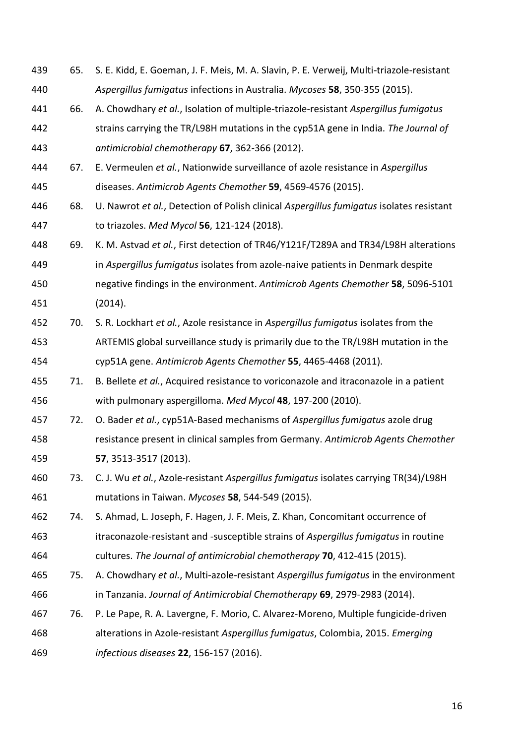| 439 | 65. | S. E. Kidd, E. Goeman, J. F. Meis, M. A. Slavin, P. E. Verweij, Multi-triazole-resistant |
|-----|-----|------------------------------------------------------------------------------------------|
| 440 |     | Aspergillus fumigatus infections in Australia. Mycoses 58, 350-355 (2015).               |
| 441 | 66. | A. Chowdhary et al., Isolation of multiple-triazole-resistant Aspergillus fumigatus      |
| 442 |     | strains carrying the TR/L98H mutations in the cyp51A gene in India. The Journal of       |
| 443 |     | antimicrobial chemotherapy 67, 362-366 (2012).                                           |
| 444 | 67. | E. Vermeulen et al., Nationwide surveillance of azole resistance in Aspergillus          |
| 445 |     | diseases. Antimicrob Agents Chemother 59, 4569-4576 (2015).                              |
| 446 | 68. | U. Nawrot et al., Detection of Polish clinical Aspergillus fumigatus isolates resistant  |
| 447 |     | to triazoles. Med Mycol 56, 121-124 (2018).                                              |
| 448 | 69. | K. M. Astvad et al., First detection of TR46/Y121F/T289A and TR34/L98H alterations       |
| 449 |     | in Aspergillus fumigatus isolates from azole-naive patients in Denmark despite           |
| 450 |     | negative findings in the environment. Antimicrob Agents Chemother 58, 5096-5101          |
| 451 |     | (2014).                                                                                  |
| 452 | 70. | S. R. Lockhart et al., Azole resistance in Aspergillus fumigatus isolates from the       |
| 453 |     | ARTEMIS global surveillance study is primarily due to the TR/L98H mutation in the        |
| 454 |     | cyp51A gene. Antimicrob Agents Chemother 55, 4465-4468 (2011).                           |
| 455 | 71. | B. Bellete et al., Acquired resistance to voriconazole and itraconazole in a patient     |
| 456 |     | with pulmonary aspergilloma. Med Mycol 48, 197-200 (2010).                               |
| 457 | 72. | O. Bader et al., cyp51A-Based mechanisms of Aspergillus fumigatus azole drug             |
| 458 |     | resistance present in clinical samples from Germany. Antimicrob Agents Chemother         |
| 459 |     | 57, 3513-3517 (2013).                                                                    |
| 460 | 73. | C. J. Wu et al., Azole-resistant Aspergillus fumigatus isolates carrying TR(34)/L98H     |
| 461 |     | mutations in Taiwan. Mycoses 58, 544-549 (2015).                                         |
| 462 | 74. | S. Ahmad, L. Joseph, F. Hagen, J. F. Meis, Z. Khan, Concomitant occurrence of            |
| 463 |     | itraconazole-resistant and -susceptible strains of Aspergillus fumigatus in routine      |
| 464 |     | cultures. The Journal of antimicrobial chemotherapy 70, 412-415 (2015).                  |
| 465 | 75. | A. Chowdhary et al., Multi-azole-resistant Aspergillus fumigatus in the environment      |
| 466 |     | in Tanzania. Journal of Antimicrobial Chemotherapy 69, 2979-2983 (2014).                 |
| 467 | 76. | P. Le Pape, R. A. Lavergne, F. Morio, C. Alvarez-Moreno, Multiple fungicide-driven       |
| 468 |     | alterations in Azole-resistant Aspergillus fumigatus, Colombia, 2015. Emerging           |
| 469 |     | infectious diseases 22, 156-157 (2016).                                                  |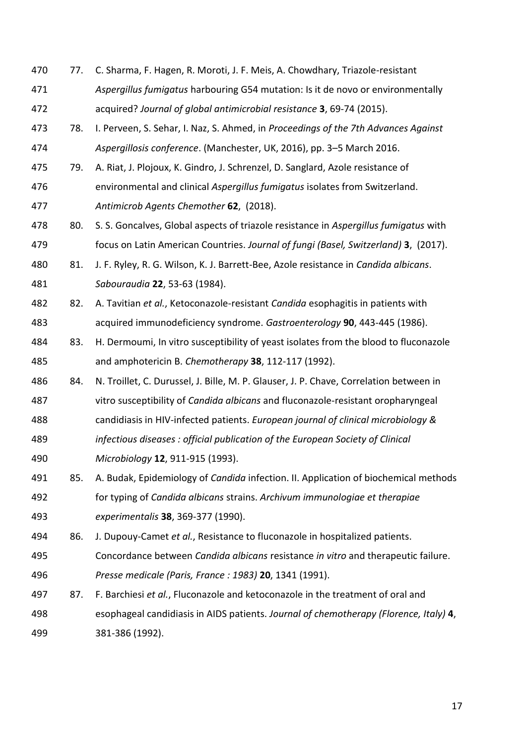77. C. Sharma, F. Hagen, R. Moroti, J. F. Meis, A. Chowdhary, Triazole-resistant *Aspergillus fumigatus* harbouring G54 mutation: Is it de novo or environmentally acquired? *Journal of global antimicrobial resistance* **3**, 69-74 (2015). 78. I. Perveen, S. Sehar, I. Naz, S. Ahmed, in *Proceedings of the 7th Advances Against Aspergillosis conference*. (Manchester, UK, 2016), pp. 3–5 March 2016. 79. A. Riat, J. Plojoux, K. Gindro, J. Schrenzel, D. Sanglard, Azole resistance of environmental and clinical *Aspergillus fumigatus* isolates from Switzerland. *Antimicrob Agents Chemother* **62**, (2018). 80. S. S. Goncalves, Global aspects of triazole resistance in *Aspergillus fumigatus* with focus on Latin American Countries. *Journal of fungi (Basel, Switzerland)* **3**, (2017). 81. J. F. Ryley, R. G. Wilson, K. J. Barrett-Bee, Azole resistance in *Candida albicans*. *Sabouraudia* **22**, 53-63 (1984). 82. A. Tavitian *et al.*, Ketoconazole-resistant *Candida* esophagitis in patients with acquired immunodeficiency syndrome. *Gastroenterology* **90**, 443-445 (1986). 83. H. Dermoumi, In vitro susceptibility of yeast isolates from the blood to fluconazole and amphotericin B. *Chemotherapy* **38**, 112-117 (1992). 84. N. Troillet, C. Durussel, J. Bille, M. P. Glauser, J. P. Chave, Correlation between in vitro susceptibility of *Candida albicans* and fluconazole-resistant oropharyngeal candidiasis in HIV-infected patients. *European journal of clinical microbiology & infectious diseases : official publication of the European Society of Clinical Microbiology* **12**, 911-915 (1993). 85. A. Budak, Epidemiology of *Candida* infection. II. Application of biochemical methods for typing of *Candida albicans* strains. *Archivum immunologiae et therapiae experimentalis* **38**, 369-377 (1990). 86. J. Dupouy-Camet *et al.*, Resistance to fluconazole in hospitalized patients. Concordance between *Candida albicans* resistance *in vitro* and therapeutic failure. *Presse medicale (Paris, France : 1983)* **20**, 1341 (1991). 87. F. Barchiesi *et al.*, Fluconazole and ketoconazole in the treatment of oral and esophageal candidiasis in AIDS patients. *Journal of chemotherapy (Florence, Italy)* **4**, 381-386 (1992).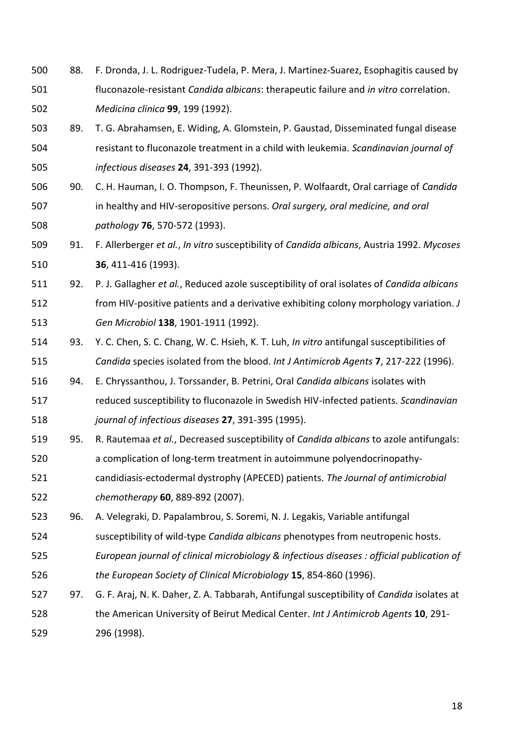- 88. F. Dronda, J. L. Rodriguez-Tudela, P. Mera, J. Martinez-Suarez, Esophagitis caused by fluconazole-resistant *Candida albicans*: therapeutic failure and *in vitro* correlation. *Medicina clinica* **99**, 199 (1992).
- 89. T. G. Abrahamsen, E. Widing, A. Glomstein, P. Gaustad, Disseminated fungal disease resistant to fluconazole treatment in a child with leukemia. *Scandinavian journal of infectious diseases* **24**, 391-393 (1992).
- 90. C. H. Hauman, I. O. Thompson, F. Theunissen, P. Wolfaardt, Oral carriage of *Candida*  in healthy and HIV-seropositive persons. *Oral surgery, oral medicine, and oral pathology* **76**, 570-572 (1993).
- 91. F. Allerberger *et al.*, *In vitro* susceptibility of *Candida albicans*, Austria 1992. *Mycoses* **36**, 411-416 (1993).
- 92. P. J. Gallagher *et al.*, Reduced azole susceptibility of oral isolates of *Candida albicans* from HIV-positive patients and a derivative exhibiting colony morphology variation. *J Gen Microbiol* **138**, 1901-1911 (1992).
- 93. Y. C. Chen, S. C. Chang, W. C. Hsieh, K. T. Luh, *In vitro* antifungal susceptibilities of *Candida* species isolated from the blood. *Int J Antimicrob Agents* **7**, 217-222 (1996).
- 94. E. Chryssanthou, J. Torssander, B. Petrini, Oral *Candida albicans* isolates with reduced susceptibility to fluconazole in Swedish HIV-infected patients. *Scandinavian journal of infectious diseases* **27**, 391-395 (1995).
- 95. R. Rautemaa *et al.*, Decreased susceptibility of *Candida albicans* to azole antifungals: a complication of long-term treatment in autoimmune polyendocrinopathy-
- candidiasis-ectodermal dystrophy (APECED) patients. *The Journal of antimicrobial chemotherapy* **60**, 889-892 (2007).
- 96. A. Velegraki, D. Papalambrou, S. Soremi, N. J. Legakis, Variable antifungal
- susceptibility of wild-type *Candida albicans* phenotypes from neutropenic hosts.
- *European journal of clinical microbiology & infectious diseases : official publication of the European Society of Clinical Microbiology* **15**, 854-860 (1996).
- 97. G. F. Araj, N. K. Daher, Z. A. Tabbarah, Antifungal susceptibility of *Candida* isolates at the American University of Beirut Medical Center. *Int J Antimicrob Agents* **10**, 291- 296 (1998).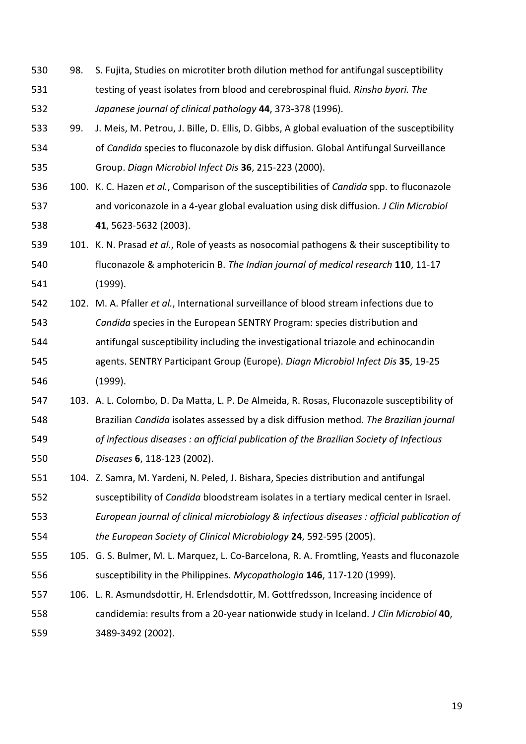- 98. S. Fujita, Studies on microtiter broth dilution method for antifungal susceptibility testing of yeast isolates from blood and cerebrospinal fluid. *Rinsho byori. The Japanese journal of clinical pathology* **44**, 373-378 (1996).
- 99. J. Meis, M. Petrou, J. Bille, D. Ellis, D. Gibbs, A global evaluation of the susceptibility of *Candida* species to fluconazole by disk diffusion. Global Antifungal Surveillance Group. *Diagn Microbiol Infect Dis* **36**, 215-223 (2000).
- 100. K. C. Hazen *et al.*, Comparison of the susceptibilities of *Candida* spp. to fluconazole and voriconazole in a 4-year global evaluation using disk diffusion. *J Clin Microbiol* **41**, 5623-5632 (2003).
- 101. K. N. Prasad *et al.*, Role of yeasts as nosocomial pathogens & their susceptibility to fluconazole & amphotericin B. *The Indian journal of medical research* **110**, 11-17 (1999).
- 102. M. A. Pfaller *et al.*, International surveillance of blood stream infections due to *Candida* species in the European SENTRY Program: species distribution and antifungal susceptibility including the investigational triazole and echinocandin agents. SENTRY Participant Group (Europe). *Diagn Microbiol Infect Dis* **35**, 19-25 (1999).
- 103. A. L. Colombo, D. Da Matta, L. P. De Almeida, R. Rosas, Fluconazole susceptibility of Brazilian *Candida* isolates assessed by a disk diffusion method. *The Brazilian journal of infectious diseases : an official publication of the Brazilian Society of Infectious Diseases* **6**, 118-123 (2002).
- 104. Z. Samra, M. Yardeni, N. Peled, J. Bishara, Species distribution and antifungal
- susceptibility of *Candida* bloodstream isolates in a tertiary medical center in Israel.
- *European journal of clinical microbiology & infectious diseases : official publication of the European Society of Clinical Microbiology* **24**, 592-595 (2005).
- 105. G. S. Bulmer, M. L. Marquez, L. Co-Barcelona, R. A. Fromtling, Yeasts and fluconazole susceptibility in the Philippines. *Mycopathologia* **146**, 117-120 (1999).
- 106. L. R. Asmundsdottir, H. Erlendsdottir, M. Gottfredsson, Increasing incidence of candidemia: results from a 20-year nationwide study in Iceland. *J Clin Microbiol* **40**, 3489-3492 (2002).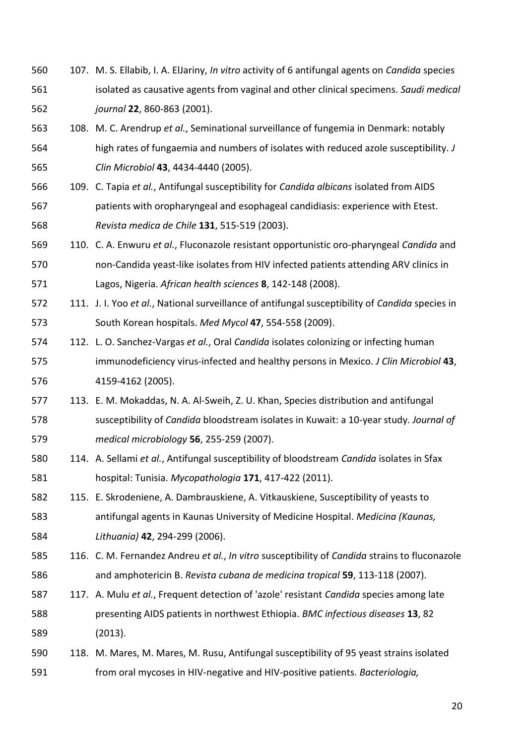- 107. M. S. Ellabib, I. A. ElJariny, *In vitro* activity of 6 antifungal agents on *Candida* species isolated as causative agents from vaginal and other clinical specimens. *Saudi medical journal* **22**, 860-863 (2001).
- 108. M. C. Arendrup *et al.*, Seminational surveillance of fungemia in Denmark: notably high rates of fungaemia and numbers of isolates with reduced azole susceptibility. *J Clin Microbiol* **43**, 4434-4440 (2005).
- 109. C. Tapia *et al.*, Antifungal susceptibility for *Candida albicans* isolated from AIDS patients with oropharyngeal and esophageal candidiasis: experience with Etest. *Revista medica de Chile* **131**, 515-519 (2003).
- 110. C. A. Enwuru *et al.*, Fluconazole resistant opportunistic oro-pharyngeal *Candida* and non-Candida yeast-like isolates from HIV infected patients attending ARV clinics in Lagos, Nigeria. *African health sciences* **8**, 142-148 (2008).
- 111. J. I. Yoo *et al.*, National surveillance of antifungal susceptibility of *Candida* species in South Korean hospitals. *Med Mycol* **47**, 554-558 (2009).
- 112. L. O. Sanchez-Vargas *et al.*, Oral *Candida* isolates colonizing or infecting human immunodeficiency virus-infected and healthy persons in Mexico. *J Clin Microbiol* **43**, 4159-4162 (2005).
- 113. E. M. Mokaddas, N. A. Al-Sweih, Z. U. Khan, Species distribution and antifungal susceptibility of *Candida* bloodstream isolates in Kuwait: a 10-year study. *Journal of medical microbiology* **56**, 255-259 (2007).
- 114. A. Sellami *et al.*, Antifungal susceptibility of bloodstream *Candida* isolates in Sfax hospital: Tunisia. *Mycopathologia* **171**, 417-422 (2011).
- 115. E. Skrodeniene, A. Dambrauskiene, A. Vitkauskiene, Susceptibility of yeasts to antifungal agents in Kaunas University of Medicine Hospital. *Medicina (Kaunas, Lithuania)* **42**, 294-299 (2006).
- 116. C. M. Fernandez Andreu *et al.*, *In vitro* susceptibility of *Candida* strains to fluconazole and amphotericin B. *Revista cubana de medicina tropical* **59**, 113-118 (2007).
- 117. A. Mulu *et al.*, Frequent detection of 'azole' resistant *Candida* species among late presenting AIDS patients in northwest Ethiopia. *BMC infectious diseases* **13**, 82 (2013).
- 118. M. Mares, M. Mares, M. Rusu, Antifungal susceptibility of 95 yeast strains isolated from oral mycoses in HIV-negative and HIV-positive patients. *Bacteriologia,*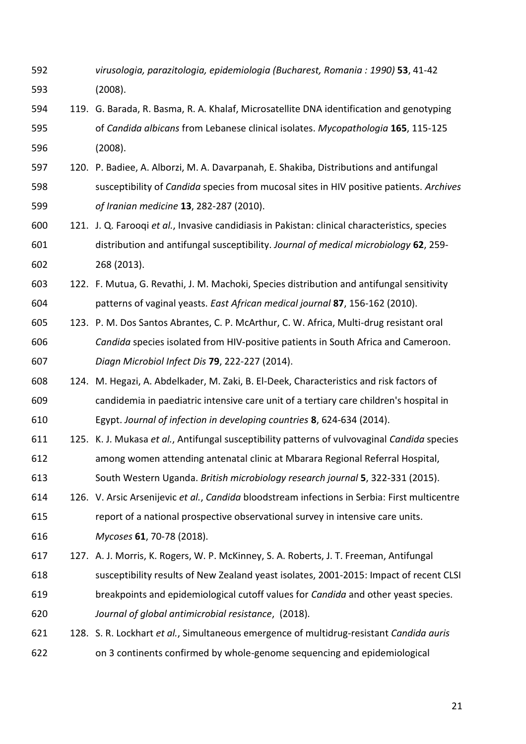- *virusologia, parazitologia, epidemiologia (Bucharest, Romania : 1990)* **53**, 41-42 (2008).
- 119. G. Barada, R. Basma, R. A. Khalaf, Microsatellite DNA identification and genotyping of *Candida albicans* from Lebanese clinical isolates. *Mycopathologia* **165**, 115-125 (2008).
- 120. P. Badiee, A. Alborzi, M. A. Davarpanah, E. Shakiba, Distributions and antifungal susceptibility of *Candida* species from mucosal sites in HIV positive patients. *Archives of Iranian medicine* **13**, 282-287 (2010).
- 121. J. Q. Farooqi *et al.*, Invasive candidiasis in Pakistan: clinical characteristics, species distribution and antifungal susceptibility. *Journal of medical microbiology* **62**, 259- 268 (2013).
- 122. F. Mutua, G. Revathi, J. M. Machoki, Species distribution and antifungal sensitivity patterns of vaginal yeasts. *East African medical journal* **87**, 156-162 (2010).
- 123. P. M. Dos Santos Abrantes, C. P. McArthur, C. W. Africa, Multi-drug resistant oral *Candida* species isolated from HIV-positive patients in South Africa and Cameroon. *Diagn Microbiol Infect Dis* **79**, 222-227 (2014).
- 124. M. Hegazi, A. Abdelkader, M. Zaki, B. El-Deek, Characteristics and risk factors of candidemia in paediatric intensive care unit of a tertiary care children's hospital in Egypt. *Journal of infection in developing countries* **8**, 624-634 (2014).
- 125. K. J. Mukasa *et al.*, Antifungal susceptibility patterns of vulvovaginal *Candida* species among women attending antenatal clinic at Mbarara Regional Referral Hospital, South Western Uganda. *British microbiology research journal* **5**, 322-331 (2015).
- 126. V. Arsic Arsenijevic *et al.*, *Candida* bloodstream infections in Serbia: First multicentre report of a national prospective observational survey in intensive care units. *Mycoses* **61**, 70-78 (2018).
- 127. A. J. Morris, K. Rogers, W. P. McKinney, S. A. Roberts, J. T. Freeman, Antifungal susceptibility results of New Zealand yeast isolates, 2001-2015: Impact of recent CLSI breakpoints and epidemiological cutoff values for *Candida* and other yeast species. *Journal of global antimicrobial resistance*, (2018).
- 128. S. R. Lockhart *et al.*, Simultaneous emergence of multidrug-resistant *Candida auris* on 3 continents confirmed by whole-genome sequencing and epidemiological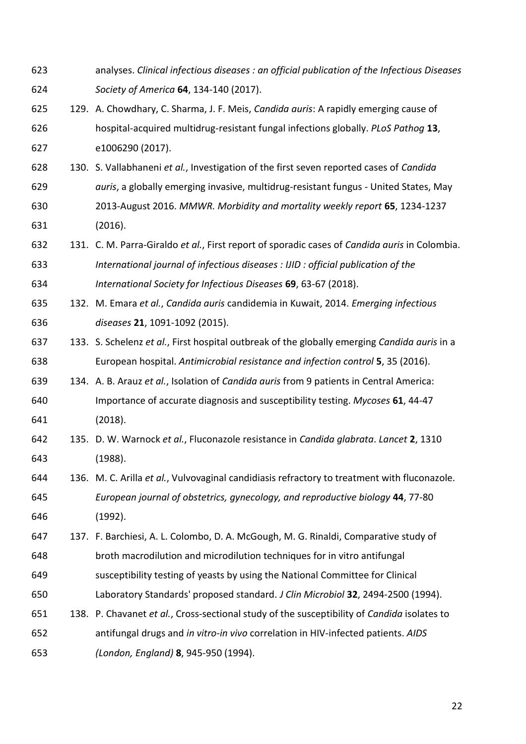- analyses. *Clinical infectious diseases : an official publication of the Infectious Diseases Society of America* **64**, 134-140 (2017).
- 129. A. Chowdhary, C. Sharma, J. F. Meis, *Candida auris*: A rapidly emerging cause of hospital-acquired multidrug-resistant fungal infections globally. *PLoS Pathog* **13**, e1006290 (2017).
- 130. S. Vallabhaneni *et al.*, Investigation of the first seven reported cases of *Candida auris*, a globally emerging invasive, multidrug-resistant fungus - United States, May 2013-August 2016. *MMWR. Morbidity and mortality weekly report* **65**, 1234-1237 (2016).
- 131. C. M. Parra-Giraldo *et al.*, First report of sporadic cases of *Candida auris* in Colombia. *International journal of infectious diseases : IJID : official publication of the International Society for Infectious Diseases* **69**, 63-67 (2018).
- 132. M. Emara *et al.*, *Candida auris* candidemia in Kuwait, 2014. *Emerging infectious diseases* **21**, 1091-1092 (2015).
- 133. S. Schelenz *et al.*, First hospital outbreak of the globally emerging *Candida auris* in a European hospital. *Antimicrobial resistance and infection control* **5**, 35 (2016).
- 134. A. B. Arauz *et al.*, Isolation of *Candida auris* from 9 patients in Central America: Importance of accurate diagnosis and susceptibility testing. *Mycoses* **61**, 44-47 (2018).
- 135. D. W. Warnock *et al.*, Fluconazole resistance in *Candida glabrata*. *Lancet* **2**, 1310 (1988).
- 136. M. C. Arilla *et al.*, Vulvovaginal candidiasis refractory to treatment with fluconazole. *European journal of obstetrics, gynecology, and reproductive biology* **44**, 77-80 (1992).
- 137. F. Barchiesi, A. L. Colombo, D. A. McGough, M. G. Rinaldi, Comparative study of broth macrodilution and microdilution techniques for in vitro antifungal susceptibility testing of yeasts by using the National Committee for Clinical
- Laboratory Standards' proposed standard. *J Clin Microbiol* **32**, 2494-2500 (1994).
- 138. P. Chavanet *et al.*, Cross-sectional study of the susceptibility of *Candida* isolates to antifungal drugs and *in vitro-in vivo* correlation in HIV-infected patients. *AIDS (London, England)* **8**, 945-950 (1994).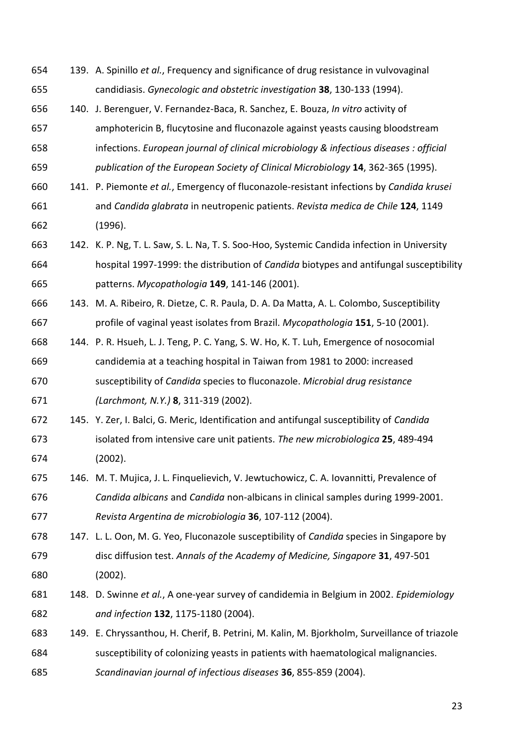139. A. Spinillo *et al.*, Frequency and significance of drug resistance in vulvovaginal candidiasis. *Gynecologic and obstetric investigation* **38**, 130-133 (1994). 140. J. Berenguer, V. Fernandez-Baca, R. Sanchez, E. Bouza, *In vitro* activity of amphotericin B, flucytosine and fluconazole against yeasts causing bloodstream infections. *European journal of clinical microbiology & infectious diseases : official publication of the European Society of Clinical Microbiology* **14**, 362-365 (1995). 141. P. Piemonte *et al.*, Emergency of fluconazole-resistant infections by *Candida krusei*  and *Candida glabrata* in neutropenic patients. *Revista medica de Chile* **124**, 1149 (1996). 142. K. P. Ng, T. L. Saw, S. L. Na, T. S. Soo-Hoo, Systemic Candida infection in University hospital 1997-1999: the distribution of *Candida* biotypes and antifungal susceptibility patterns. *Mycopathologia* **149**, 141-146 (2001). 143. M. A. Ribeiro, R. Dietze, C. R. Paula, D. A. Da Matta, A. L. Colombo, Susceptibility profile of vaginal yeast isolates from Brazil. *Mycopathologia* **151**, 5-10 (2001). 144. P. R. Hsueh, L. J. Teng, P. C. Yang, S. W. Ho, K. T. Luh, Emergence of nosocomial candidemia at a teaching hospital in Taiwan from 1981 to 2000: increased susceptibility of *Candida* species to fluconazole. *Microbial drug resistance (Larchmont, N.Y.)* **8**, 311-319 (2002). 145. Y. Zer, I. Balci, G. Meric, Identification and antifungal susceptibility of *Candida*  isolated from intensive care unit patients. *The new microbiologica* **25**, 489-494 (2002). 146. M. T. Mujica, J. L. Finquelievich, V. Jewtuchowicz, C. A. Iovannitti, Prevalence of *Candida albicans* and *Candida* non-albicans in clinical samples during 1999-2001. *Revista Argentina de microbiologia* **36**, 107-112 (2004). 147. L. L. Oon, M. G. Yeo, Fluconazole susceptibility of *Candida* species in Singapore by disc diffusion test. *Annals of the Academy of Medicine, Singapore* **31**, 497-501 (2002). 148. D. Swinne *et al.*, A one-year survey of candidemia in Belgium in 2002. *Epidemiology and infection* **132**, 1175-1180 (2004). 149. E. Chryssanthou, H. Cherif, B. Petrini, M. Kalin, M. Bjorkholm, Surveillance of triazole susceptibility of colonizing yeasts in patients with haematological malignancies. *Scandinavian journal of infectious diseases* **36**, 855-859 (2004).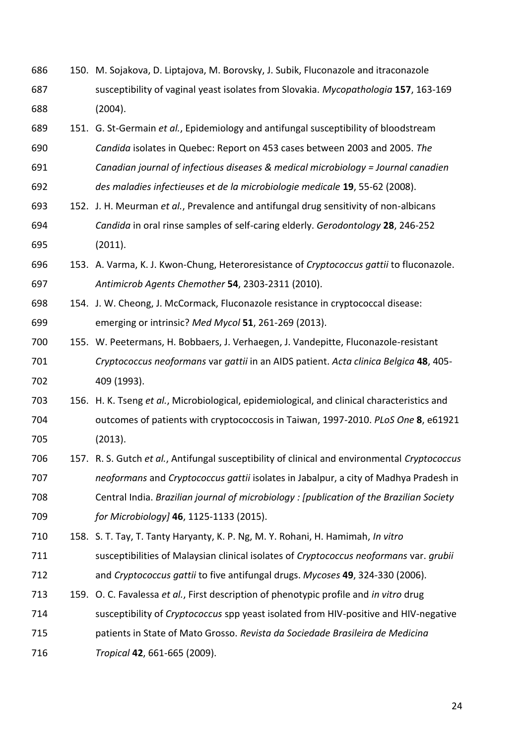- 150. M. Sojakova, D. Liptajova, M. Borovsky, J. Subik, Fluconazole and itraconazole susceptibility of vaginal yeast isolates from Slovakia. *Mycopathologia* **157**, 163-169 (2004).
- 151. G. St-Germain *et al.*, Epidemiology and antifungal susceptibility of bloodstream *Candida* isolates in Quebec: Report on 453 cases between 2003 and 2005. *The Canadian journal of infectious diseases & medical microbiology = Journal canadien des maladies infectieuses et de la microbiologie medicale* **19**, 55-62 (2008).
- 152. J. H. Meurman *et al.*, Prevalence and antifungal drug sensitivity of non-albicans *Candida* in oral rinse samples of self-caring elderly. *Gerodontology* **28**, 246-252 (2011).
- 153. A. Varma, K. J. Kwon-Chung, Heteroresistance of *Cryptococcus gattii* to fluconazole. *Antimicrob Agents Chemother* **54**, 2303-2311 (2010).
- 154. J. W. Cheong, J. McCormack, Fluconazole resistance in cryptococcal disease: emerging or intrinsic? *Med Mycol* **51**, 261-269 (2013).
- 155. W. Peetermans, H. Bobbaers, J. Verhaegen, J. Vandepitte, Fluconazole-resistant *Cryptococcus neoformans* var *gattii* in an AIDS patient. *Acta clinica Belgica* **48**, 405- 409 (1993).
- 156. H. K. Tseng *et al.*, Microbiological, epidemiological, and clinical characteristics and outcomes of patients with cryptococcosis in Taiwan, 1997-2010. *PLoS One* **8**, e61921 (2013).
- 157. R. S. Gutch *et al.*, Antifungal susceptibility of clinical and environmental *Cryptococcus neoformans* and *Cryptococcus gattii* isolates in Jabalpur, a city of Madhya Pradesh in Central India. *Brazilian journal of microbiology : [publication of the Brazilian Society for Microbiology]* **46**, 1125-1133 (2015).
- 158. S. T. Tay, T. Tanty Haryanty, K. P. Ng, M. Y. Rohani, H. Hamimah, *In vitro*
- susceptibilities of Malaysian clinical isolates of *Cryptococcus neoformans* var. *grubii* and *Cryptococcus gattii* to five antifungal drugs. *Mycoses* **49**, 324-330 (2006).
- 159. O. C. Favalessa *et al.*, First description of phenotypic profile and *in vitro* drug susceptibility of *Cryptococcus* spp yeast isolated from HIV-positive and HIV-negative patients in State of Mato Grosso. *Revista da Sociedade Brasileira de Medicina Tropical* **42**, 661-665 (2009).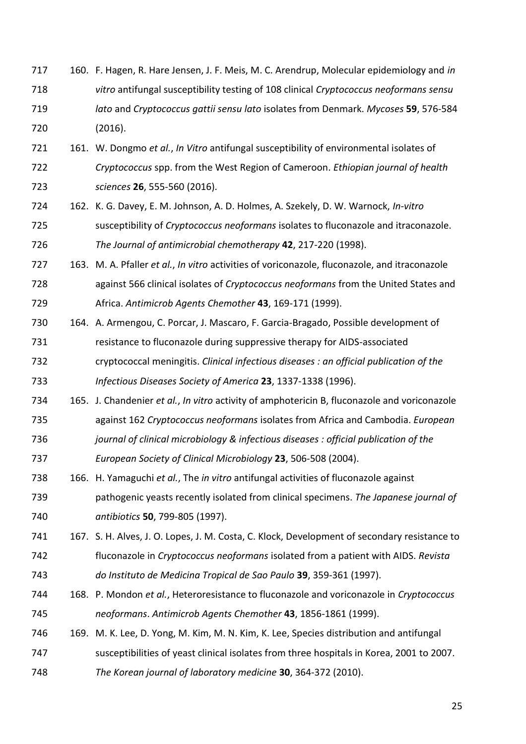- 160. F. Hagen, R. Hare Jensen, J. F. Meis, M. C. Arendrup, Molecular epidemiology and *in vitro* antifungal susceptibility testing of 108 clinical *Cryptococcus neoformans sensu lato* and *Cryptococcus gattii sensu lato* isolates from Denmark. *Mycoses* **59**, 576-584 (2016).
- 161. W. Dongmo *et al.*, *In Vitro* antifungal susceptibility of environmental isolates of *Cryptococcus* spp. from the West Region of Cameroon. *Ethiopian journal of health sciences* **26**, 555-560 (2016).
- 162. K. G. Davey, E. M. Johnson, A. D. Holmes, A. Szekely, D. W. Warnock, *In-vitro* susceptibility of *Cryptococcus neoformans* isolates to fluconazole and itraconazole. *The Journal of antimicrobial chemotherapy* **42**, 217-220 (1998).
- 163. M. A. Pfaller *et al.*, *In vitro* activities of voriconazole, fluconazole, and itraconazole against 566 clinical isolates of *Cryptococcus neoformans* from the United States and Africa. *Antimicrob Agents Chemother* **43**, 169-171 (1999).
- 164. A. Armengou, C. Porcar, J. Mascaro, F. Garcia-Bragado, Possible development of resistance to fluconazole during suppressive therapy for AIDS-associated cryptococcal meningitis. *Clinical infectious diseases : an official publication of the Infectious Diseases Society of America* **23**, 1337-1338 (1996).
- 165. J. Chandenier *et al.*, *In vitro* activity of amphotericin B, fluconazole and voriconazole against 162 *Cryptococcus neoformans* isolates from Africa and Cambodia. *European*
- *journal of clinical microbiology & infectious diseases : official publication of the*
- *European Society of Clinical Microbiology* **23**, 506-508 (2004).
- 166. H. Yamaguchi *et al.*, The *in vitro* antifungal activities of fluconazole against pathogenic yeasts recently isolated from clinical specimens. *The Japanese journal of antibiotics* **50**, 799-805 (1997).
- 167. S. H. Alves, J. O. Lopes, J. M. Costa, C. Klock, Development of secondary resistance to fluconazole in *Cryptococcus neoformans* isolated from a patient with AIDS. *Revista do Instituto de Medicina Tropical de Sao Paulo* **39**, 359-361 (1997).
- 168. P. Mondon *et al.*, Heteroresistance to fluconazole and voriconazole in *Cryptococcus neoformans*. *Antimicrob Agents Chemother* **43**, 1856-1861 (1999).
- 169. M. K. Lee, D. Yong, M. Kim, M. N. Kim, K. Lee, Species distribution and antifungal susceptibilities of yeast clinical isolates from three hospitals in Korea, 2001 to 2007.
- *The Korean journal of laboratory medicine* **30**, 364-372 (2010).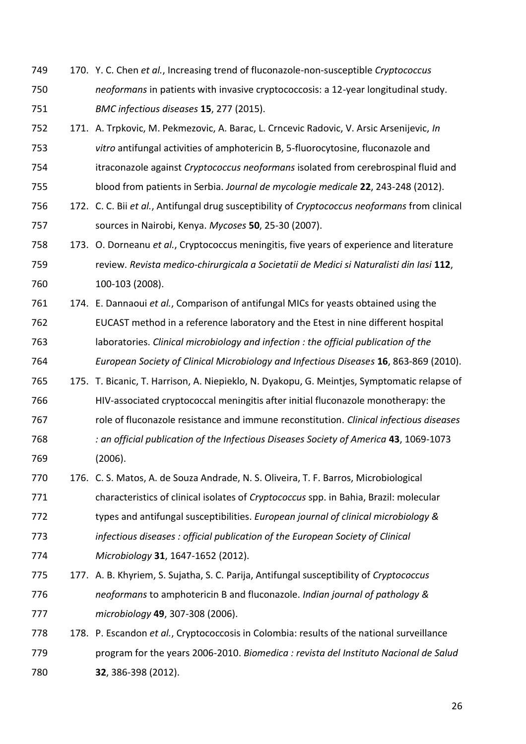- 170. Y. C. Chen *et al.*, Increasing trend of fluconazole-non-susceptible *Cryptococcus neoformans* in patients with invasive cryptococcosis: a 12-year longitudinal study. *BMC infectious diseases* **15**, 277 (2015).
- 171. A. Trpkovic, M. Pekmezovic, A. Barac, L. Crncevic Radovic, V. Arsic Arsenijevic, *In vitro* antifungal activities of amphotericin B, 5-fluorocytosine, fluconazole and itraconazole against *Cryptococcus neoformans* isolated from cerebrospinal fluid and blood from patients in Serbia. *Journal de mycologie medicale* **22**, 243-248 (2012).
- 172. C. C. Bii *et al.*, Antifungal drug susceptibility of *Cryptococcus neoformans* from clinical sources in Nairobi, Kenya. *Mycoses* **50**, 25-30 (2007).
- 173. O. Dorneanu *et al.*, Cryptococcus meningitis, five years of experience and literature review. *Revista medico-chirurgicala a Societatii de Medici si Naturalisti din Iasi* **112**, 100-103 (2008).
- 174. E. Dannaoui *et al.*, Comparison of antifungal MICs for yeasts obtained using the EUCAST method in a reference laboratory and the Etest in nine different hospital laboratories. *Clinical microbiology and infection : the official publication of the European Society of Clinical Microbiology and Infectious Diseases* **16**, 863-869 (2010).
- 175. T. Bicanic, T. Harrison, A. Niepieklo, N. Dyakopu, G. Meintjes, Symptomatic relapse of HIV-associated cryptococcal meningitis after initial fluconazole monotherapy: the role of fluconazole resistance and immune reconstitution. *Clinical infectious diseases : an official publication of the Infectious Diseases Society of America* **43**, 1069-1073 (2006).
- 176. C. S. Matos, A. de Souza Andrade, N. S. Oliveira, T. F. Barros, Microbiological characteristics of clinical isolates of *Cryptococcus* spp. in Bahia, Brazil: molecular types and antifungal susceptibilities. *European journal of clinical microbiology & infectious diseases : official publication of the European Society of Clinical*
- *Microbiology* **31**, 1647-1652 (2012).
- 177. A. B. Khyriem, S. Sujatha, S. C. Parija, Antifungal susceptibility of *Cryptococcus neoformans* to amphotericin B and fluconazole. *Indian journal of pathology & microbiology* **49**, 307-308 (2006).
- 178. P. Escandon *et al.*, Cryptococcosis in Colombia: results of the national surveillance program for the years 2006-2010. *Biomedica : revista del Instituto Nacional de Salud* **32**, 386-398 (2012).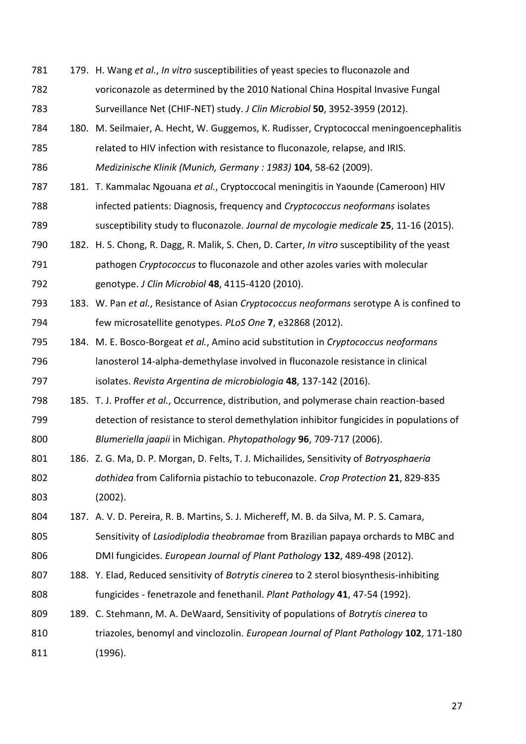179. H. Wang *et al.*, *In vitro* susceptibilities of yeast species to fluconazole and voriconazole as determined by the 2010 National China Hospital Invasive Fungal Surveillance Net (CHIF-NET) study. *J Clin Microbiol* **50**, 3952-3959 (2012). 180. M. Seilmaier, A. Hecht, W. Guggemos, K. Rudisser, Cryptococcal meningoencephalitis related to HIV infection with resistance to fluconazole, relapse, and IRIS. *Medizinische Klinik (Munich, Germany : 1983)* **104**, 58-62 (2009). 181. T. Kammalac Ngouana *et al.*, Cryptoccocal meningitis in Yaounde (Cameroon) HIV infected patients: Diagnosis, frequency and *Cryptococcus neoformans* isolates susceptibility study to fluconazole. *Journal de mycologie medicale* **25**, 11-16 (2015). 182. H. S. Chong, R. Dagg, R. Malik, S. Chen, D. Carter, *In vitro* susceptibility of the yeast pathogen *Cryptococcus* to fluconazole and other azoles varies with molecular genotype. *J Clin Microbiol* **48**, 4115-4120 (2010). 183. W. Pan *et al.*, Resistance of Asian *Cryptococcus neoformans* serotype A is confined to few microsatellite genotypes. *PLoS One* **7**, e32868 (2012). 184. M. E. Bosco-Borgeat *et al.*, Amino acid substitution in *Cryptococcus neoformans* lanosterol 14-alpha-demethylase involved in fluconazole resistance in clinical isolates. *Revista Argentina de microbiologia* **48**, 137-142 (2016). 185. T. J. Proffer *et al.*, Occurrence, distribution, and polymerase chain reaction-based detection of resistance to sterol demethylation inhibitor fungicides in populations of *Blumeriella jaapii* in Michigan. *Phytopathology* **96**, 709-717 (2006). 186. Z. G. Ma, D. P. Morgan, D. Felts, T. J. Michailides, Sensitivity of *Botryosphaeria dothidea* from California pistachio to tebuconazole. *Crop Protection* **21**, 829-835 (2002). 187. A. V. D. Pereira, R. B. Martins, S. J. Michereff, M. B. da Silva, M. P. S. Camara, Sensitivity of *Lasiodiplodia theobromae* from Brazilian papaya orchards to MBC and DMI fungicides. *European Journal of Plant Pathology* **132**, 489-498 (2012). 188. Y. Elad, Reduced sensitivity of *Botrytis cinerea* to 2 sterol biosynthesis-inhibiting fungicides - fenetrazole and fenethanil. *Plant Pathology* **41**, 47-54 (1992). 189. C. Stehmann, M. A. DeWaard, Sensitivity of populations of *Botrytis cinerea* to triazoles, benomyl and vinclozolin. *European Journal of Plant Pathology* **102**, 171-180 (1996).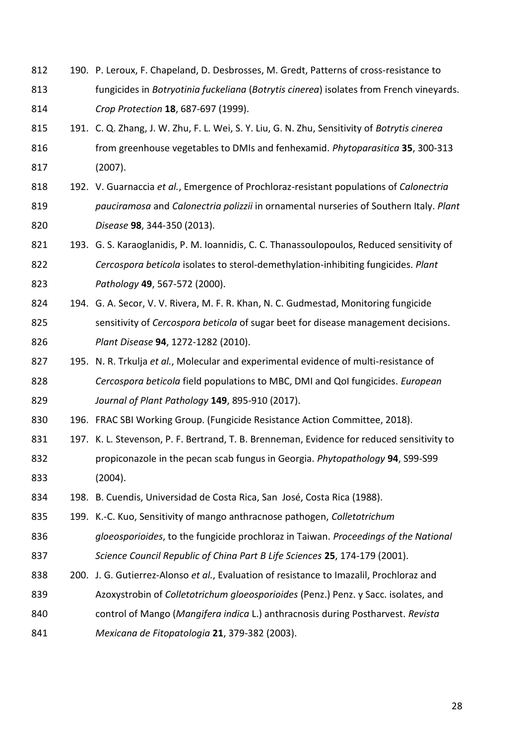- 812 190. P. Leroux, F. Chapeland, D. Desbrosses, M. Gredt, Patterns of cross-resistance to fungicides in *Botryotinia fuckeliana* (*Botrytis cinerea*) isolates from French vineyards. *Crop Protection* **18**, 687-697 (1999).
- 191. C. Q. Zhang, J. W. Zhu, F. L. Wei, S. Y. Liu, G. N. Zhu, Sensitivity of *Botrytis cinerea* from greenhouse vegetables to DMIs and fenhexamid. *Phytoparasitica* **35**, 300-313 (2007).
- 192. V. Guarnaccia *et al.*, Emergence of Prochloraz-resistant populations of *Calonectria pauciramosa* and *Calonectria polizzii* in ornamental nurseries of Southern Italy. *Plant Disease* **98**, 344-350 (2013).
- 821 193. G. S. Karaoglanidis, P. M. Ioannidis, C. C. Thanassoulopoulos, Reduced sensitivity of *Cercospora beticola* isolates to sterol-demethylation-inhibiting fungicides. *Plant Pathology* **49**, 567-572 (2000).
- 824 194. G. A. Secor, V. V. Rivera, M. F. R. Khan, N. C. Gudmestad, Monitoring fungicide sensitivity of *Cercospora beticola* of sugar beet for disease management decisions. *Plant Disease* **94**, 1272-1282 (2010).
- 195. N. R. Trkulja *et al.*, Molecular and experimental evidence of multi-resistance of *Cercospora beticola* field populations to MBC, DMI and QoI fungicides. *European Journal of Plant Pathology* **149**, 895-910 (2017).
- 196. FRAC SBI Working Group. (Fungicide Resistance Action Committee, 2018).
- 831 197. K. L. Stevenson, P. F. Bertrand, T. B. Brenneman, Evidence for reduced sensitivity to propiconazole in the pecan scab fungus in Georgia. *Phytopathology* **94**, S99-S99 (2004).
- 198. B. Cuendis, Universidad de Costa Rica, San José, Costa Rica (1988).
- 199. K.-C. Kuo, Sensitivity of mango anthracnose pathogen, *Colletotrichum*
- *gloeosporioides*, to the fungicide prochloraz in Taiwan. *Proceedings of the National Science Council Republic of China Part B Life Sciences* **25**, 174-179 (2001).
- 200. J. G. Gutierrez-Alonso *et al.*, Evaluation of resistance to Imazalil, Prochloraz and
- Azoxystrobin of *Colletotrichum gloeosporioides* (Penz.) Penz. y Sacc. isolates, and
- control of Mango (*Mangifera indica* L.) anthracnosis during Postharvest. *Revista*
- *Mexicana de Fitopatologia* **21**, 379-382 (2003).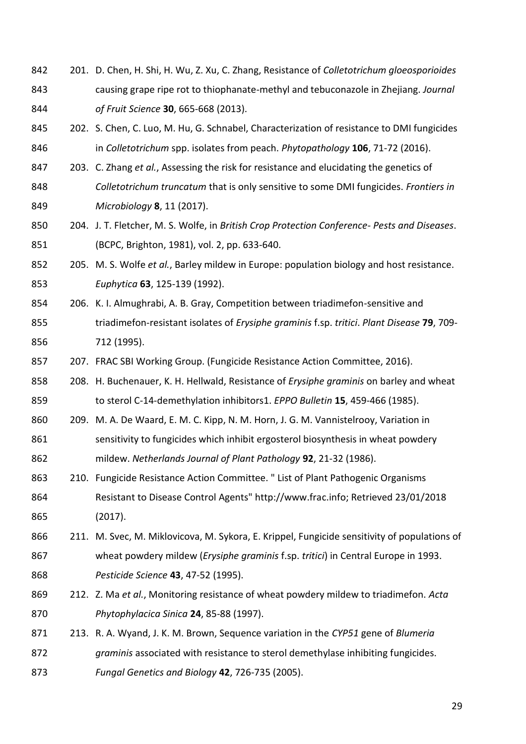- 201. D. Chen, H. Shi, H. Wu, Z. Xu, C. Zhang, Resistance of *Colletotrichum gloeosporioides*  causing grape ripe rot to thiophanate-methyl and tebuconazole in Zhejiang. *Journal of Fruit Science* **30**, 665-668 (2013).
- 845 202. S. Chen, C. Luo, M. Hu, G. Schnabel, Characterization of resistance to DMI fungicides in *Colletotrichum* spp. isolates from peach. *Phytopathology* **106**, 71-72 (2016).
- 203. C. Zhang *et al.*, Assessing the risk for resistance and elucidating the genetics of *Colletotrichum truncatum* that is only sensitive to some DMI fungicides. *Frontiers in Microbiology* **8**, 11 (2017).
- 204. J. T. Fletcher, M. S. Wolfe, in *British Crop Protection Conference- Pests and Diseases*. (BCPC, Brighton, 1981), vol. 2, pp. 633-640.
- 205. M. S. Wolfe *et al.*, Barley mildew in Europe: population biology and host resistance. *Euphytica* **63**, 125-139 (1992).
- 206. K. I. Almughrabi, A. B. Gray, Competition between triadimefon-sensitive and triadimefon-resistant isolates of *Erysiphe graminis* f.sp. *tritici*. *Plant Disease* **79**, 709- 712 (1995).
- 207. FRAC SBI Working Group. (Fungicide Resistance Action Committee, 2016).
- 208. H. Buchenauer, K. H. Hellwald, Resistance of *Erysiphe graminis* on barley and wheat to sterol C-14-demethylation inhibitors1. *EPPO Bulletin* **15**, 459-466 (1985).
- 860 209. M. A. De Waard, E. M. C. Kipp, N. M. Horn, J. G. M. Vannistelrooy, Variation in 861 sensitivity to fungicides which inhibit ergosterol biosynthesis in wheat powdery mildew. *Netherlands Journal of Plant Pathology* **92**, 21-32 (1986).
- 210. Fungicide Resistance Action Committee. " List of Plant Pathogenic Organisms Resistant to Disease Control Agents" http://www.frac.info; Retrieved 23/01/2018 (2017).
- 211. M. Svec, M. Miklovicova, M. Sykora, E. Krippel, Fungicide sensitivity of populations of wheat powdery mildew (*Erysiphe graminis* f.sp. *tritici*) in Central Europe in 1993. *Pesticide Science* **43**, 47-52 (1995).
- 212. Z. Ma *et al.*, Monitoring resistance of wheat powdery mildew to triadimefon. *Acta Phytophylacica Sinica* **24**, 85-88 (1997).
- 213. R. A. Wyand, J. K. M. Brown, Sequence variation in the *CYP51* gene of *Blumeria graminis* associated with resistance to sterol demethylase inhibiting fungicides.
- *Fungal Genetics and Biology* **42**, 726-735 (2005).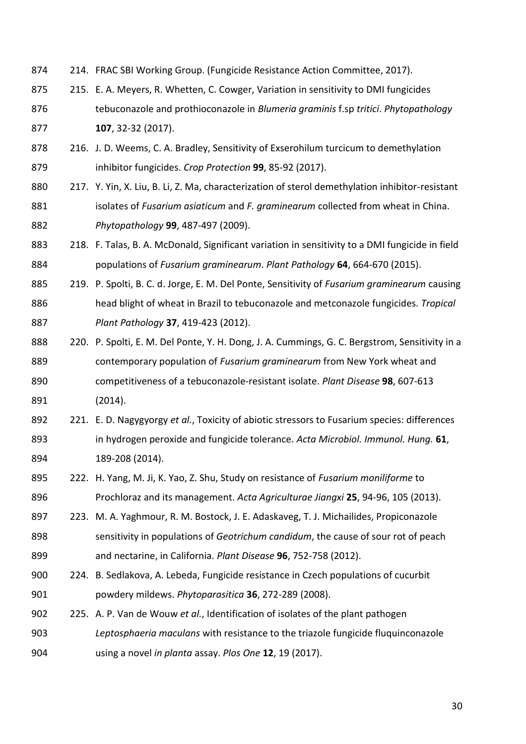- 214. FRAC SBI Working Group. (Fungicide Resistance Action Committee, 2017).
- 215. E. A. Meyers, R. Whetten, C. Cowger, Variation in sensitivity to DMI fungicides tebuconazole and prothioconazole in *Blumeria graminis* f.sp *tritici*. *Phytopathology* **107**, 32-32 (2017).
- 216. J. D. Weems, C. A. Bradley, Sensitivity of Exserohilum turcicum to demethylation inhibitor fungicides. *Crop Protection* **99**, 85-92 (2017).
- 880 217. Y. Yin, X. Liu, B. Li, Z. Ma, characterization of sterol demethylation inhibitor-resistant isolates of *Fusarium asiaticum* and *F. graminearum* collected from wheat in China. *Phytopathology* **99**, 487-497 (2009).
- 218. F. Talas, B. A. McDonald, Significant variation in sensitivity to a DMI fungicide in field populations of *Fusarium graminearum*. *Plant Pathology* **64**, 664-670 (2015).
- 219. P. Spolti, B. C. d. Jorge, E. M. Del Ponte, Sensitivity of *Fusarium graminearum* causing head blight of wheat in Brazil to tebuconazole and metconazole fungicides. *Tropical Plant Pathology* **37**, 419-423 (2012).
- 888 220. P. Spolti, E. M. Del Ponte, Y. H. Dong, J. A. Cummings, G. C. Bergstrom, Sensitivity in a contemporary population of *Fusarium graminearum* from New York wheat and competitiveness of a tebuconazole-resistant isolate. *Plant Disease* **98**, 607-613 (2014).
- 221. E. D. Nagygyorgy *et al.*, Toxicity of abiotic stressors to Fusarium species: differences in hydrogen peroxide and fungicide tolerance. *Acta Microbiol. Immunol. Hung.* **61**, 189-208 (2014).
- 222. H. Yang, M. Ji, K. Yao, Z. Shu, Study on resistance of *Fusarium moniliforme* to Prochloraz and its management. *Acta Agriculturae Jiangxi* **25**, 94-96, 105 (2013).
- 223. M. A. Yaghmour, R. M. Bostock, J. E. Adaskaveg, T. J. Michailides, Propiconazole sensitivity in populations of *Geotrichum candidum*, the cause of sour rot of peach and nectarine, in California. *Plant Disease* **96**, 752-758 (2012).
- 224. B. Sedlakova, A. Lebeda, Fungicide resistance in Czech populations of cucurbit powdery mildews. *Phytoparasitica* **36**, 272-289 (2008).
- 225. A. P. Van de Wouw *et al.*, Identification of isolates of the plant pathogen *Leptosphaeria maculans* with resistance to the triazole fungicide fluquinconazole using a novel *in planta* assay. *Plos One* **12**, 19 (2017).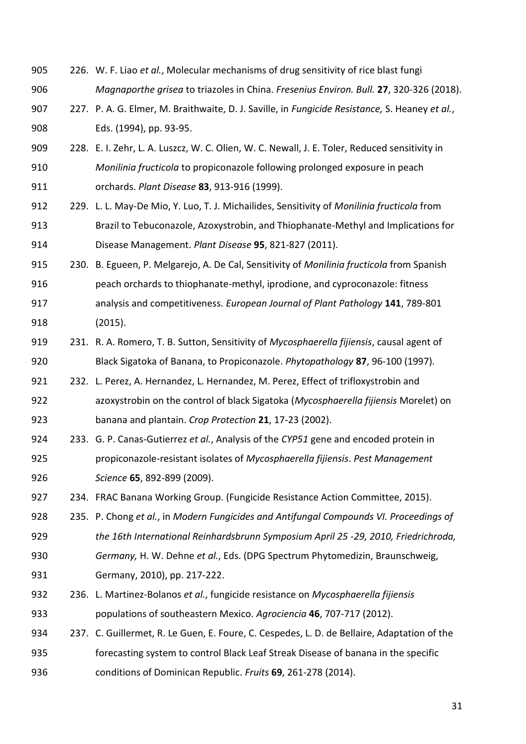- 226. W. F. Liao *et al.*, Molecular mechanisms of drug sensitivity of rice blast fungi *Magnaporthe grisea* to triazoles in China. *Fresenius Environ. Bull.* **27**, 320-326 (2018).
- 227. P. A. G. Elmer, M. Braithwaite, D. J. Saville, in *Fungicide Resistance,* S. Heaney *et al.*, Eds. (1994), pp. 93-95.
- 228. E. I. Zehr, L. A. Luszcz, W. C. Olien, W. C. Newall, J. E. Toler, Reduced sensitivity in *Monilinia fructicola* to propiconazole following prolonged exposure in peach orchards. *Plant Disease* **83**, 913-916 (1999).
- 229. L. L. May-De Mio, Y. Luo, T. J. Michailides, Sensitivity of *Monilinia fructicola* from Brazil to Tebuconazole, Azoxystrobin, and Thiophanate-Methyl and Implications for Disease Management. *Plant Disease* **95**, 821-827 (2011).
- 230. B. Egueen, P. Melgarejo, A. De Cal, Sensitivity of *Monilinia fructicola* from Spanish peach orchards to thiophanate-methyl, iprodione, and cyproconazole: fitness
- analysis and competitiveness. *European Journal of Plant Pathology* **141**, 789-801 (2015).
- 231. R. A. Romero, T. B. Sutton, Sensitivity of *Mycosphaerella fijiensis*, causal agent of Black Sigatoka of Banana, to Propiconazole. *Phytopathology* **87**, 96-100 (1997).
- 921 232. L. Perez, A. Hernandez, L. Hernandez, M. Perez, Effect of trifloxystrobin and azoxystrobin on the control of black Sigatoka (*Mycosphaerella fijiensis* Morelet) on banana and plantain. *Crop Protection* **21**, 17-23 (2002).
- 233. G. P. Canas-Gutierrez *et al.*, Analysis of the *CYP51* gene and encoded protein in propiconazole-resistant isolates of *Mycosphaerella fijiensis*. *Pest Management Science* **65**, 892-899 (2009).
- 234. FRAC Banana Working Group. (Fungicide Resistance Action Committee, 2015).
- 235. P. Chong *et al.*, in *Modern Fungicides and Antifungal Compounds VI. Proceedings of the 16th International Reinhardsbrunn Symposium April 25 -29, 2010, Friedrichroda,*
- *Germany,* H. W. Dehne *et al.*, Eds. (DPG Spectrum Phytomedizin, Braunschweig, Germany, 2010), pp. 217-222.
- 236. L. Martinez-Bolanos *et al.*, fungicide resistance on *Mycosphaerella fijiensis* populations of southeastern Mexico. *Agrociencia* **46**, 707-717 (2012).
- 237. C. Guillermet, R. Le Guen, E. Foure, C. Cespedes, L. D. de Bellaire, Adaptation of the forecasting system to control Black Leaf Streak Disease of banana in the specific conditions of Dominican Republic. *Fruits* **69**, 261-278 (2014).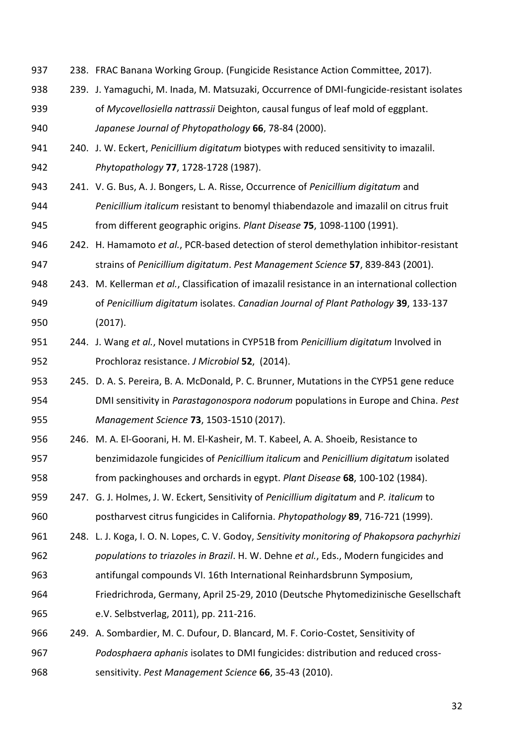- 238. FRAC Banana Working Group. (Fungicide Resistance Action Committee, 2017).
- 239. J. Yamaguchi, M. Inada, M. Matsuzaki, Occurrence of DMI-fungicide-resistant isolates of *Mycovellosiella nattrassii* Deighton, causal fungus of leaf mold of eggplant. *Japanese Journal of Phytopathology* **66**, 78-84 (2000).
- 240. J. W. Eckert, *Penicillium digitatum* biotypes with reduced sensitivity to imazalil. *Phytopathology* **77**, 1728-1728 (1987).
- 241. V. G. Bus, A. J. Bongers, L. A. Risse, Occurrence of *Penicillium digitatum* and *Penicillium italicum* resistant to benomyl thiabendazole and imazalil on citrus fruit from different geographic origins. *Plant Disease* **75**, 1098-1100 (1991).
- 242. H. Hamamoto *et al.*, PCR-based detection of sterol demethylation inhibitor-resistant strains of *Penicillium digitatum*. *Pest Management Science* **57**, 839-843 (2001).
- 243. M. Kellerman *et al.*, Classification of imazalil resistance in an international collection of *Penicillium digitatum* isolates. *Canadian Journal of Plant Pathology* **39**, 133-137 (2017).
- 244. J. Wang *et al.*, Novel mutations in CYP51B from *Penicillium digitatum* Involved in Prochloraz resistance. *J Microbiol* **52**, (2014).
- 245. D. A. S. Pereira, B. A. McDonald, P. C. Brunner, Mutations in the CYP51 gene reduce DMI sensitivity in *Parastagonospora nodorum* populations in Europe and China. *Pest Management Science* **73**, 1503-1510 (2017).
- 246. M. A. El-Goorani, H. M. El-Kasheir, M. T. Kabeel, A. A. Shoeib, Resistance to benzimidazole fungicides of *Penicillium italicum* and *Penicillium digitatum* isolated from packinghouses and orchards in egypt. *Plant Disease* **68**, 100-102 (1984).
- 247. G. J. Holmes, J. W. Eckert, Sensitivity of *Penicillium digitatum* and *P. italicum* to postharvest citrus fungicides in California. *Phytopathology* **89**, 716-721 (1999).
- 248. L. J. Koga, I. O. N. Lopes, C. V. Godoy, *Sensitivity monitoring of Phakopsora pachyrhizi populations to triazoles in Brazil*. H. W. Dehne *et al.*, Eds., Modern fungicides and
- antifungal compounds VI. 16th International Reinhardsbrunn Symposium,
- Friedrichroda, Germany, April 25-29, 2010 (Deutsche Phytomedizinische Gesellschaft e.V. Selbstverlag, 2011), pp. 211-216.
- 249. A. Sombardier, M. C. Dufour, D. Blancard, M. F. Corio-Costet, Sensitivity of *Podosphaera aphanis* isolates to DMI fungicides: distribution and reduced cross-
- sensitivity. *Pest Management Science* **66**, 35-43 (2010).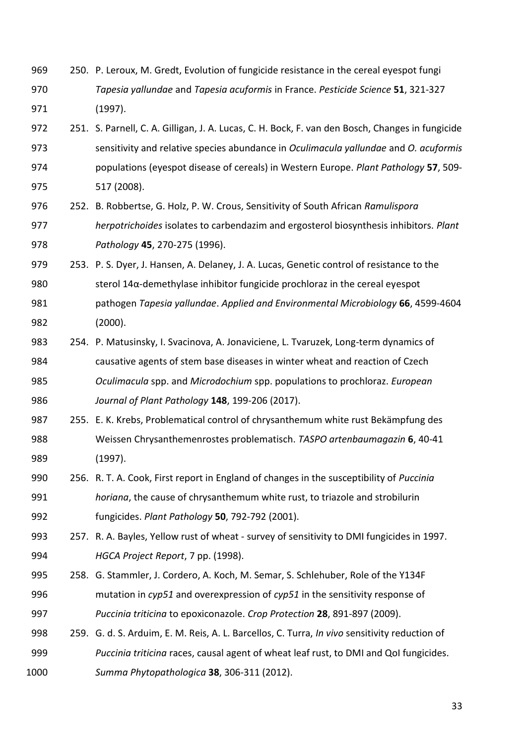- 250. P. Leroux, M. Gredt, Evolution of fungicide resistance in the cereal eyespot fungi *Tapesia yallundae* and *Tapesia acuformis* in France. *Pesticide Science* **51**, 321-327 (1997).
- 251. S. Parnell, C. A. Gilligan, J. A. Lucas, C. H. Bock, F. van den Bosch, Changes in fungicide sensitivity and relative species abundance in *Oculimacula yallundae* and *O. acuformis* populations (eyespot disease of cereals) in Western Europe. *Plant Pathology* **57**, 509- 517 (2008).
- 252. B. Robbertse, G. Holz, P. W. Crous, Sensitivity of South African *Ramulispora herpotrichoides* isolates to carbendazim and ergosterol biosynthesis inhibitors. *Plant Pathology* **45**, 270-275 (1996).
- 979 253. P. S. Dyer, J. Hansen, A. Delaney, J. A. Lucas, Genetic control of resistance to the sterol 14α-demethylase inhibitor fungicide prochloraz in the cereal eyespot pathogen *Tapesia yallundae*. *Applied and Environmental Microbiology* **66**, 4599-4604
- (2000).
- 254. P. Matusinsky, I. Svacinova, A. Jonaviciene, L. Tvaruzek, Long-term dynamics of causative agents of stem base diseases in winter wheat and reaction of Czech *Oculimacula* spp. and *Microdochium* spp. populations to prochloraz. *European Journal of Plant Pathology* **148**, 199-206 (2017).
- 255. E. K. Krebs, Problematical control of chrysanthemum white rust Bekämpfung des Weissen Chrysanthemenrostes problematisch. *TASPO artenbaumagazin* **6**, 40-41 (1997).
- 256. R. T. A. Cook, First report in England of changes in the susceptibility of *Puccinia horiana*, the cause of chrysanthemum white rust, to triazole and strobilurin fungicides. *Plant Pathology* **50**, 792-792 (2001).
- 257. R. A. Bayles, Yellow rust of wheat survey of sensitivity to DMI fungicides in 1997. *HGCA Project Report*, 7 pp. (1998).
- 258. G. Stammler, J. Cordero, A. Koch, M. Semar, S. Schlehuber, Role of the Y134F mutation in *cyp51* and overexpression of *cyp51* in the sensitivity response of *Puccinia triticina* to epoxiconazole. *Crop Protection* **28**, 891-897 (2009).
- 259. G. d. S. Arduim, E. M. Reis, A. L. Barcellos, C. Turra, *In vivo* sensitivity reduction of *Puccinia triticina* races, causal agent of wheat leaf rust, to DMI and QoI fungicides. *Summa Phytopathologica* **38**, 306-311 (2012).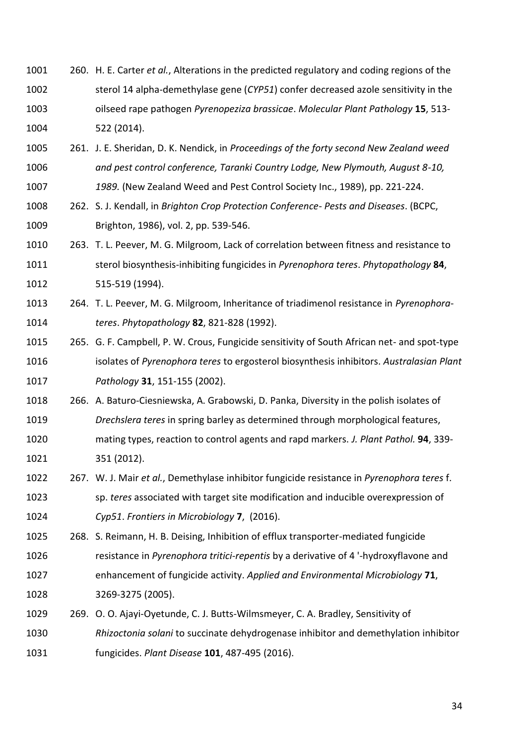- 260. H. E. Carter *et al.*, Alterations in the predicted regulatory and coding regions of the sterol 14 alpha-demethylase gene (*CYP51*) confer decreased azole sensitivity in the oilseed rape pathogen *Pyrenopeziza brassicae*. *Molecular Plant Pathology* **15**, 513- 522 (2014).
- 261. J. E. Sheridan, D. K. Nendick, in *Proceedings of the forty second New Zealand weed and pest control conference, Taranki Country Lodge, New Plymouth, August 8-10, 1989.* (New Zealand Weed and Pest Control Society Inc., 1989), pp. 221-224.
- 262. S. J. Kendall, in *Brighton Crop Protection Conference- Pests and Diseases*. (BCPC, Brighton, 1986), vol. 2, pp. 539-546.
- 263. T. L. Peever, M. G. Milgroom, Lack of correlation between fitness and resistance to sterol biosynthesis-inhibiting fungicides in *Pyrenophora teres*. *Phytopathology* **84**, 515-519 (1994).
- 264. T. L. Peever, M. G. Milgroom, Inheritance of triadimenol resistance in *Pyrenophora-teres*. *Phytopathology* **82**, 821-828 (1992).
- 265. G. F. Campbell, P. W. Crous, Fungicide sensitivity of South African net- and spot-type isolates of *Pyrenophora teres* to ergosterol biosynthesis inhibitors. *Australasian Plant Pathology* **31**, 151-155 (2002).
- 266. A. Baturo-Ciesniewska, A. Grabowski, D. Panka, Diversity in the polish isolates of *Drechslera teres* in spring barley as determined through morphological features, mating types, reaction to control agents and rapd markers. *J. Plant Pathol.* **94**, 339- 351 (2012).
- 267. W. J. Mair *et al.*, Demethylase inhibitor fungicide resistance in *Pyrenophora teres* f. sp. *teres* associated with target site modification and inducible overexpression of *Cyp51*. *Frontiers in Microbiology* **7**, (2016).
- 268. S. Reimann, H. B. Deising, Inhibition of efflux transporter-mediated fungicide resistance in *Pyrenophora tritici-repentis* by a derivative of 4 '-hydroxyflavone and enhancement of fungicide activity. *Applied and Environmental Microbiology* **71**, 3269-3275 (2005).
- 269. O. O. Ajayi-Oyetunde, C. J. Butts-Wilmsmeyer, C. A. Bradley, Sensitivity of *Rhizoctonia solani* to succinate dehydrogenase inhibitor and demethylation inhibitor fungicides. *Plant Disease* **101**, 487-495 (2016).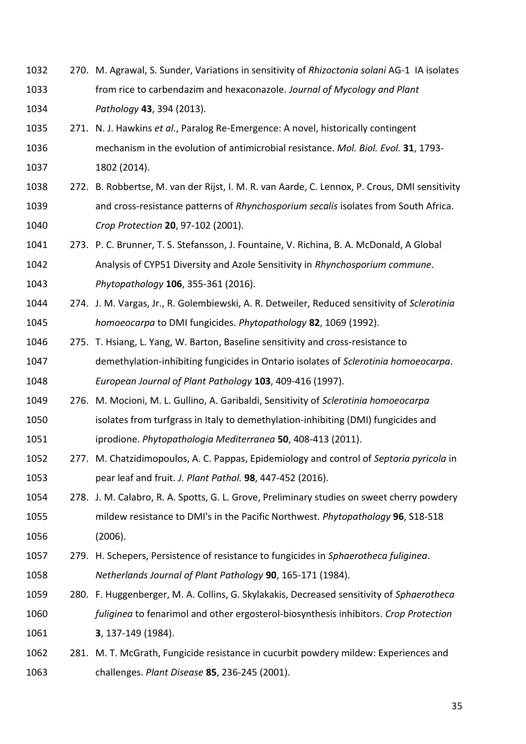- 270. M. Agrawal, S. Sunder, Variations in sensitivity of *Rhizoctonia solani* AG-1 IA isolates from rice to carbendazim and hexaconazole. *Journal of Mycology and Plant Pathology* **43**, 394 (2013).
- 271. N. J. Hawkins *et al.*, Paralog Re-Emergence: A novel, historically contingent mechanism in the evolution of antimicrobial resistance. *Mol. Biol. Evol.* **31**, 1793- 1802 (2014).
- 272. B. Robbertse, M. van der Rijst, I. M. R. van Aarde, C. Lennox, P. Crous, DMI sensitivity and cross-resistance patterns of *Rhynchosporium secalis* isolates from South Africa. *Crop Protection* **20**, 97-102 (2001).
- 273. P. C. Brunner, T. S. Stefansson, J. Fountaine, V. Richina, B. A. McDonald, A Global Analysis of CYP51 Diversity and Azole Sensitivity in *Rhynchosporium commune*. *Phytopathology* **106**, 355-361 (2016).
- 274. J. M. Vargas, Jr., R. Golembiewski, A. R. Detweiler, Reduced sensitivity of *Sclerotinia homoeocarpa* to DMI fungicides. *Phytopathology* **82**, 1069 (1992).
- 275. T. Hsiang, L. Yang, W. Barton, Baseline sensitivity and cross-resistance to demethylation-inhibiting fungicides in Ontario isolates of *Sclerotinia homoeocarpa*. *European Journal of Plant Pathology* **103**, 409-416 (1997).
- 276. M. Mocioni, M. L. Gullino, A. Garibaldi, Sensitivity of *Sclerotinia homoeocarpa*
- isolates from turfgrass in Italy to demethylation-inhibiting (DMI) fungicides and iprodione. *Phytopathologia Mediterranea* **50**, 408-413 (2011).
- 277. M. Chatzidimopoulos, A. C. Pappas, Epidemiology and control of *Septoria pyricola* in pear leaf and fruit. *J. Plant Pathol.* **98**, 447-452 (2016).
- 278. J. M. Calabro, R. A. Spotts, G. L. Grove, Preliminary studies on sweet cherry powdery mildew resistance to DMI's in the Pacific Northwest. *Phytopathology* **96**, S18-S18 (2006).
- 279. H. Schepers, Persistence of resistance to fungicides in *Sphaerotheca fuliginea*. *Netherlands Journal of Plant Pathology* **90**, 165-171 (1984).
- 280. F. Huggenberger, M. A. Collins, G. Skylakakis, Decreased sensitivity of *Sphaerotheca fuliginea* to fenarimol and other ergosterol-biosynthesis inhibitors. *Crop Protection* **3**, 137-149 (1984).
- 281. M. T. McGrath, Fungicide resistance in cucurbit powdery mildew: Experiences and challenges. *Plant Disease* **85**, 236-245 (2001).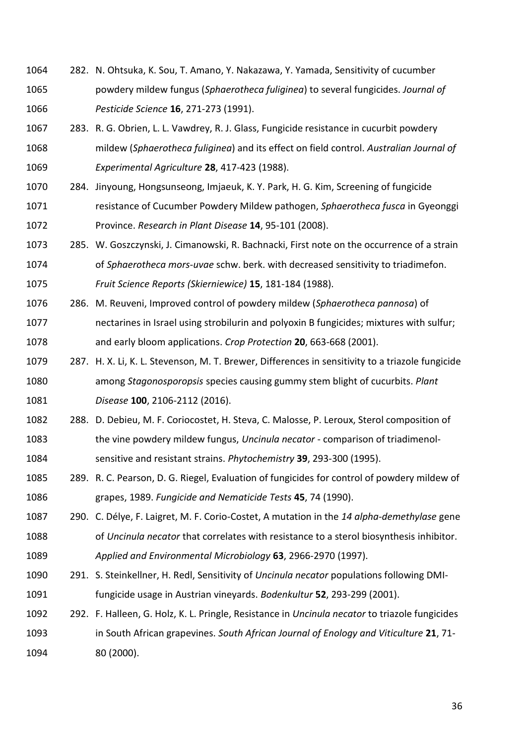- 282. N. Ohtsuka, K. Sou, T. Amano, Y. Nakazawa, Y. Yamada, Sensitivity of cucumber powdery mildew fungus (*Sphaerotheca fuliginea*) to several fungicides. *Journal of Pesticide Science* **16**, 271-273 (1991).
- 283. R. G. Obrien, L. L. Vawdrey, R. J. Glass, Fungicide resistance in cucurbit powdery mildew (*Sphaerotheca fuliginea*) and its effect on field control. *Australian Journal of Experimental Agriculture* **28**, 417-423 (1988).
- 284. Jinyoung, Hongsunseong, Imjaeuk, K. Y. Park, H. G. Kim, Screening of fungicide resistance of Cucumber Powdery Mildew pathogen, *Sphaerotheca fusca* in Gyeonggi Province. *Research in Plant Disease* **14**, 95-101 (2008).
- 285. W. Goszczynski, J. Cimanowski, R. Bachnacki, First note on the occurrence of a strain of *Sphaerotheca mors-uvae* schw. berk. with decreased sensitivity to triadimefon. *Fruit Science Reports (Skierniewice)* **15**, 181-184 (1988).
- 286. M. Reuveni, Improved control of powdery mildew (*Sphaerotheca pannosa*) of nectarines in Israel using strobilurin and polyoxin B fungicides; mixtures with sulfur; and early bloom applications. *Crop Protection* **20**, 663-668 (2001).
- 287. H. X. Li, K. L. Stevenson, M. T. Brewer, Differences in sensitivity to a triazole fungicide among *Stagonosporopsis* species causing gummy stem blight of cucurbits. *Plant Disease* **100**, 2106-2112 (2016).
- 288. D. Debieu, M. F. Coriocostet, H. Steva, C. Malosse, P. Leroux, Sterol composition of the vine powdery mildew fungus, *Uncinula necator* - comparison of triadimenol-sensitive and resistant strains. *Phytochemistry* **39**, 293-300 (1995).
- 289. R. C. Pearson, D. G. Riegel, Evaluation of fungicides for control of powdery mildew of grapes, 1989. *Fungicide and Nematicide Tests* **45**, 74 (1990).
- 290. C. Délye, F. Laigret, M. F. Corio-Costet, A mutation in the *14 alpha-demethylase* gene of *Uncinula necator* that correlates with resistance to a sterol biosynthesis inhibitor. *Applied and Environmental Microbiology* **63**, 2966-2970 (1997).
- 291. S. Steinkellner, H. Redl, Sensitivity of *Uncinula necator* populations following DMI-fungicide usage in Austrian vineyards. *Bodenkultur* **52**, 293-299 (2001).
- 292. F. Halleen, G. Holz, K. L. Pringle, Resistance in *Uncinula necator* to triazole fungicides in South African grapevines. *South African Journal of Enology and Viticulture* **21**, 71- 80 (2000).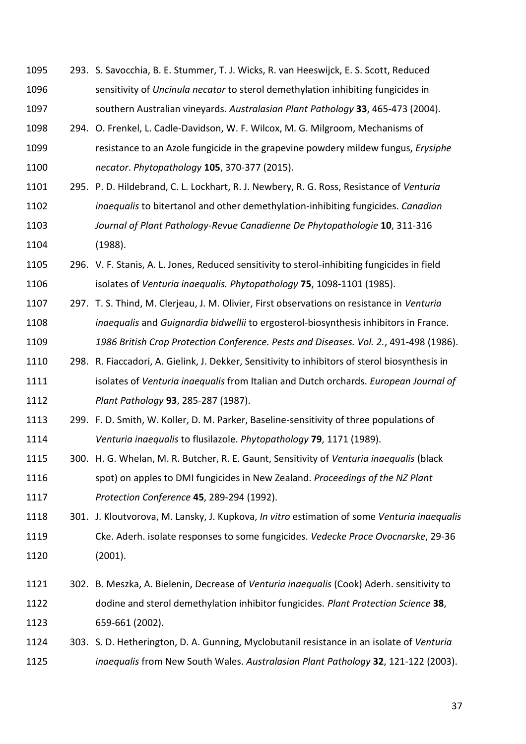- 293. S. Savocchia, B. E. Stummer, T. J. Wicks, R. van Heeswijck, E. S. Scott, Reduced sensitivity of *Uncinula necator* to sterol demethylation inhibiting fungicides in southern Australian vineyards. *Australasian Plant Pathology* **33**, 465-473 (2004).
- 294. O. Frenkel, L. Cadle-Davidson, W. F. Wilcox, M. G. Milgroom, Mechanisms of resistance to an Azole fungicide in the grapevine powdery mildew fungus, *Erysiphe necator*. *Phytopathology* **105**, 370-377 (2015).
- 295. P. D. Hildebrand, C. L. Lockhart, R. J. Newbery, R. G. Ross, Resistance of *Venturia inaequalis* to bitertanol and other demethylation-inhibiting fungicides. *Canadian Journal of Plant Pathology-Revue Canadienne De Phytopathologie* **10**, 311-316 (1988).
- 296. V. F. Stanis, A. L. Jones, Reduced sensitivity to sterol-inhibiting fungicides in field isolates of *Venturia inaequalis. Phytopathology* **75**, 1098-1101 (1985).
- 297. T. S. Thind, M. Clerjeau, J. M. Olivier, First observations on resistance in *Venturia inaequalis* and *Guignardia bidwellii* to ergosterol-biosynthesis inhibitors in France. *1986 British Crop Protection Conference. Pests and Diseases. Vol. 2.*, 491-498 (1986).
- 298. R. Fiaccadori, A. Gielink, J. Dekker, Sensitivity to inhibitors of sterol biosynthesis in isolates of *Venturia inaequalis* from Italian and Dutch orchards. *European Journal of Plant Pathology* **93**, 285-287 (1987).
- 299. F. D. Smith, W. Koller, D. M. Parker, Baseline-sensitivity of three populations of *Venturia inaequalis* to flusilazole. *Phytopathology* **79**, 1171 (1989).
- 300. H. G. Whelan, M. R. Butcher, R. E. Gaunt, Sensitivity of *Venturia inaequalis* (black spot) on apples to DMI fungicides in New Zealand. *Proceedings of the NZ Plant Protection Conference* **45**, 289-294 (1992).
- 301. J. Kloutvorova, M. Lansky, J. Kupkova, *In vitro* estimation of some *Venturia inaequalis* Cke. Aderh. isolate responses to some fungicides. *Vedecke Prace Ovocnarske*, 29-36 (2001).
- 302. B. Meszka, A. Bielenin, Decrease of *Venturia inaequalis* (Cook) Aderh. sensitivity to dodine and sterol demethylation inhibitor fungicides. *Plant Protection Science* **38**, 659-661 (2002).
- 303. S. D. Hetherington, D. A. Gunning, Myclobutanil resistance in an isolate of *Venturia inaequalis* from New South Wales. *Australasian Plant Pathology* **32**, 121-122 (2003).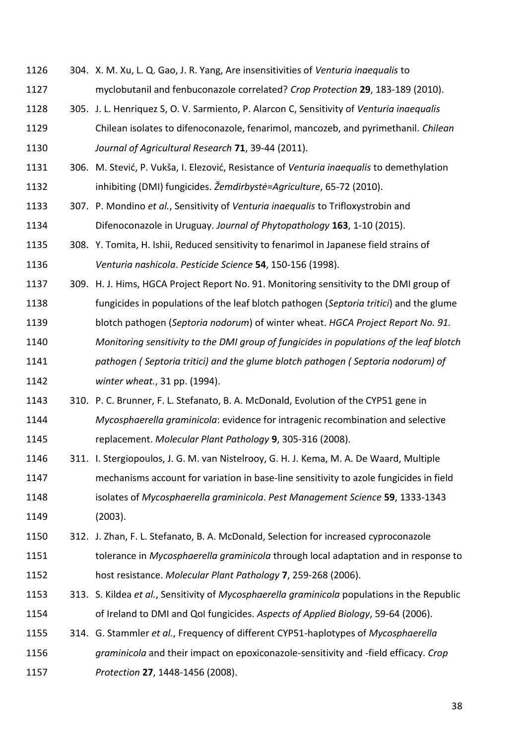304. X. M. Xu, L. Q. Gao, J. R. Yang, Are insensitivities of *Venturia inaequalis* to myclobutanil and fenbuconazole correlated? *Crop Protection* **29**, 183-189 (2010). 305. J. L. Henriquez S, O. V. Sarmiento, P. Alarcon C, Sensitivity of *Venturia inaequalis* Chilean isolates to difenoconazole, fenarimol, mancozeb, and pyrimethanil. *Chilean Journal of Agricultural Research* **71**, 39-44 (2011). 306. M. Stević, P. Vukša, I. Elezović, Resistance of *Venturia inaequalis* to demethylation inhibiting (DMI) fungicides. *Žemdirbystė=Agriculture*, 65-72 (2010). 307. P. Mondino *et al.*, Sensitivity of *Venturia inaequalis* to Trifloxystrobin and Difenoconazole in Uruguay. *Journal of Phytopathology* **163**, 1-10 (2015). 308. Y. Tomita, H. Ishii, Reduced sensitivity to fenarimol in Japanese field strains of *Venturia nashicola*. *Pesticide Science* **54**, 150-156 (1998). 309. H. J. Hims, HGCA Project Report No. 91. Monitoring sensitivity to the DMI group of fungicides in populations of the leaf blotch pathogen (*Septoria tritici*) and the glume blotch pathogen (*Septoria nodorum*) of winter wheat. *HGCA Project Report No. 91. Monitoring sensitivity to the DMI group of fungicides in populations of the leaf blotch pathogen ( Septoria tritici) and the glume blotch pathogen ( Septoria nodorum) of winter wheat.*, 31 pp. (1994). 310. P. C. Brunner, F. L. Stefanato, B. A. McDonald, Evolution of the CYP51 gene in *Mycosphaerella graminicola*: evidence for intragenic recombination and selective replacement. *Molecular Plant Pathology* **9**, 305-316 (2008). 311. I. Stergiopoulos, J. G. M. van Nistelrooy, G. H. J. Kema, M. A. De Waard, Multiple mechanisms account for variation in base-line sensitivity to azole fungicides in field isolates of *Mycosphaerella graminicola*. *Pest Management Science* **59**, 1333-1343 (2003). 312. J. Zhan, F. L. Stefanato, B. A. McDonald, Selection for increased cyproconazole tolerance in *Mycosphaerella graminicola* through local adaptation and in response to host resistance. *Molecular Plant Pathology* **7**, 259-268 (2006). 313. S. Kildea *et al.*, Sensitivity of *Mycosphaerella graminicola* populations in the Republic of Ireland to DMI and QoI fungicides. *Aspects of Applied Biology*, 59-64 (2006). 314. G. Stammler *et al.*, Frequency of different CYP51-haplotypes of *Mycosphaerella graminicola* and their impact on epoxiconazole-sensitivity and -field efficacy. *Crop Protection* **27**, 1448-1456 (2008).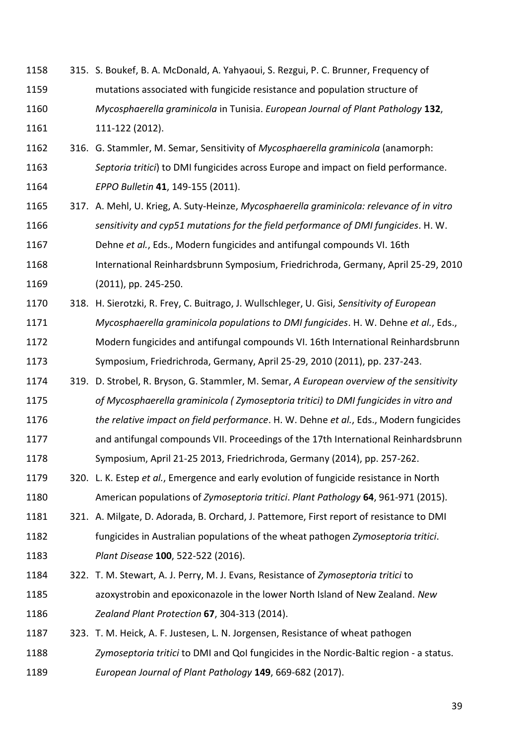- 315. S. Boukef, B. A. McDonald, A. Yahyaoui, S. Rezgui, P. C. Brunner, Frequency of mutations associated with fungicide resistance and population structure of *Mycosphaerella graminicola* in Tunisia. *European Journal of Plant Pathology* **132**, 111-122 (2012).
- 316. G. Stammler, M. Semar, Sensitivity of *Mycosphaerella graminicola* (anamorph: *Septoria tritici*) to DMI fungicides across Europe and impact on field performance. *EPPO Bulletin* **41**, 149-155 (2011).
- 317. A. Mehl, U. Krieg, A. Suty-Heinze, *Mycosphaerella graminicola: relevance of in vitro sensitivity and cyp51 mutations for the field performance of DMI fungicides*. H. W.

Dehne *et al.*, Eds., Modern fungicides and antifungal compounds VI. 16th

- International Reinhardsbrunn Symposium, Friedrichroda, Germany, April 25-29, 2010
- (2011), pp. 245-250.
- 318. H. Sierotzki, R. Frey, C. Buitrago, J. Wullschleger, U. Gisi, *Sensitivity of European Mycosphaerella graminicola populations to DMI fungicides*. H. W. Dehne *et al.*, Eds., Modern fungicides and antifungal compounds VI. 16th International Reinhardsbrunn Symposium, Friedrichroda, Germany, April 25-29, 2010 (2011), pp. 237-243.
- 319. D. Strobel, R. Bryson, G. Stammler, M. Semar, *A European overview of the sensitivity of Mycosphaerella graminicola ( Zymoseptoria tritici) to DMI fungicides in vitro and*
- *the relative impact on field performance*. H. W. Dehne *et al.*, Eds., Modern fungicides and antifungal compounds VII. Proceedings of the 17th International Reinhardsbrunn
- Symposium, April 21-25 2013, Friedrichroda, Germany (2014), pp. 257-262.
- 320. L. K. Estep *et al.*, Emergence and early evolution of fungicide resistance in North American populations of *Zymoseptoria tritici*. *Plant Pathology* **64**, 961-971 (2015).
- 1181 321. A. Milgate, D. Adorada, B. Orchard, J. Pattemore, First report of resistance to DMI fungicides in Australian populations of the wheat pathogen *Zymoseptoria tritici*. *Plant Disease* **100**, 522-522 (2016).
- 322. T. M. Stewart, A. J. Perry, M. J. Evans, Resistance of *Zymoseptoria tritici* to azoxystrobin and epoxiconazole in the lower North Island of New Zealand. *New Zealand Plant Protection* **67**, 304-313 (2014).
- 323. T. M. Heick, A. F. Justesen, L. N. Jorgensen, Resistance of wheat pathogen *Zymoseptoria tritici* to DMI and QoI fungicides in the Nordic-Baltic region - a status. *European Journal of Plant Pathology* **149**, 669-682 (2017).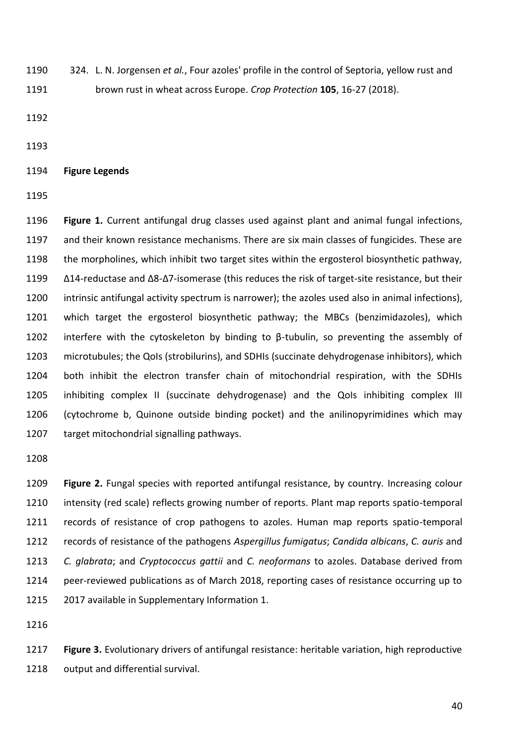324. L. N. Jorgensen *et al.*, Four azoles' profile in the control of Septoria, yellow rust and brown rust in wheat across Europe. *Crop Protection* **105**, 16-27 (2018).

**Figure Legends**

 **Figure 1.** Current antifungal drug classes used against plant and animal fungal infections, and their known resistance mechanisms. There are six main classes of fungicides. These are the morpholines, which inhibit two target sites within the ergosterol biosynthetic pathway, Δ14-reductase and Δ8-Δ7-isomerase (this reduces the risk of target-site resistance, but their intrinsic antifungal activity spectrum is narrower); the azoles used also in animal infections), which target the ergosterol biosynthetic pathway; the MBCs (benzimidazoles), which 1202 interfere with the cytoskeleton by binding to  $\beta$ -tubulin, so preventing the assembly of microtubules; the QoIs (strobilurins), and SDHIs (succinate dehydrogenase inhibitors), which both inhibit the electron transfer chain of mitochondrial respiration, with the SDHIs inhibiting complex II (succinate dehydrogenase) and the QoIs inhibiting complex III (cytochrome b, Quinone outside binding pocket) and the anilinopyrimidines which may target mitochondrial signalling pathways.

 **Figure 2.** Fungal species with reported antifungal resistance, by country. Increasing colour intensity (red scale) reflects growing number of reports. Plant map reports spatio-temporal records of resistance of crop pathogens to azoles. Human map reports spatio-temporal records of resistance of the pathogens *Aspergillus fumigatus*; *Candida albicans*, *C. auris* and *C. glabrata*; and *Cryptococcus gattii* and *C. neoformans* to azoles. Database derived from peer-reviewed publications as of March 2018, reporting cases of resistance occurring up to 2017 available in Supplementary Information 1.

 **Figure 3.** Evolutionary drivers of antifungal resistance: heritable variation, high reproductive output and differential survival.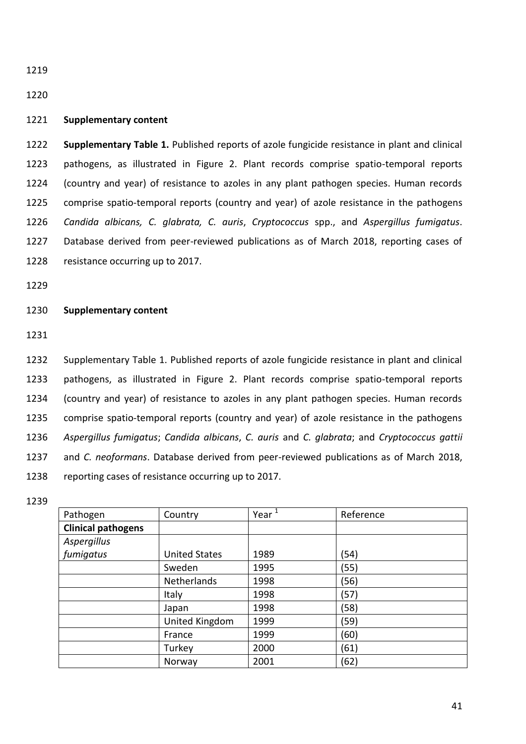## 

## **Supplementary content**

 **Supplementary Table 1.** Published reports of azole fungicide resistance in plant and clinical pathogens, as illustrated in Figure 2. Plant records comprise spatio-temporal reports (country and year) of resistance to azoles in any plant pathogen species. Human records comprise spatio-temporal reports (country and year) of azole resistance in the pathogens *Candida albicans, C. glabrata, C. auris*, *Cryptococcus* spp., and *Aspergillus fumigatus*. Database derived from peer-reviewed publications as of March 2018, reporting cases of resistance occurring up to 2017.

## **Supplementary content**

 Supplementary Table 1. Published reports of azole fungicide resistance in plant and clinical pathogens, as illustrated in Figure 2. Plant records comprise spatio-temporal reports (country and year) of resistance to azoles in any plant pathogen species. Human records comprise spatio-temporal reports (country and year) of azole resistance in the pathogens *Aspergillus fumigatus*; *Candida albicans*, *C. auris* and *C. glabrata*; and *Cryptococcus gattii* and *C. neoformans*. Database derived from peer-reviewed publications as of March 2018, reporting cases of resistance occurring up to 2017.

| Pathogen                  | Country              | Year $\overline{1}$ | Reference |
|---------------------------|----------------------|---------------------|-----------|
| <b>Clinical pathogens</b> |                      |                     |           |
| Aspergillus               |                      |                     |           |
| fumigatus                 | <b>United States</b> | 1989                | (54)      |
|                           | Sweden               | 1995                | (55)      |
|                           | Netherlands          | 1998                | (56)      |
|                           | Italy                | 1998                | (57)      |
|                           | Japan                | 1998                | (58)      |
|                           | United Kingdom       | 1999                | (59)      |
|                           | France               | 1999                | (60)      |
|                           | Turkey               | 2000                | (61)      |
|                           | Norway               | 2001                | (62)      |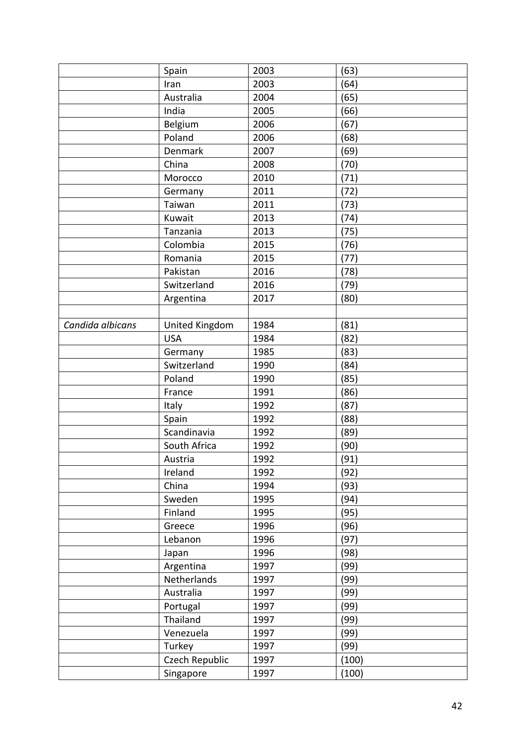|                  | Spain          | 2003 | (63)         |
|------------------|----------------|------|--------------|
|                  | Iran           | 2003 | (64)         |
|                  | Australia      | 2004 | (65)         |
|                  | India          | 2005 | (66)         |
|                  | Belgium        | 2006 | (67)         |
|                  | Poland         | 2006 | (68)         |
|                  | <b>Denmark</b> | 2007 | (69)         |
|                  | China          | 2008 | (70)         |
|                  | Morocco        | 2010 | (71)         |
|                  | Germany        | 2011 | (72)         |
|                  | Taiwan         | 2011 | (73)         |
|                  | Kuwait         | 2013 | (74)         |
|                  | Tanzania       | 2013 | (75)         |
|                  | Colombia       | 2015 | (76)         |
|                  | Romania        | 2015 | (77)         |
|                  | Pakistan       | 2016 | (78)         |
|                  | Switzerland    | 2016 | (79)         |
|                  | Argentina      | 2017 | (80)         |
|                  |                |      |              |
| Candida albicans | United Kingdom | 1984 | (81)         |
|                  | <b>USA</b>     | 1984 | (82)         |
|                  | Germany        | 1985 | (83)         |
|                  | Switzerland    | 1990 | (84)         |
|                  | Poland         | 1990 | (85)         |
|                  | France         | 1991 | (86)         |
|                  | Italy          | 1992 | (87)         |
|                  | Spain          | 1992 | (88)         |
|                  | Scandinavia    | 1992 | (89)         |
|                  | South Africa   | 1992 | (90)         |
|                  | Austria        | 1992 | (91)         |
|                  | Ireland        | 1992 | (92)         |
|                  | China          | 1994 | (93)         |
|                  | Sweden         | 1995 | (94)         |
|                  | Finland        | 1995 | (95)         |
|                  | Greece         | 1996 | (96)         |
|                  | Lebanon        | 1996 | (97)         |
|                  | Japan          | 1996 | (98)         |
|                  | Argentina      | 1997 | (99)         |
|                  | Netherlands    | 1997 | (99)         |
|                  | Australia      | 1997 |              |
|                  |                | 1997 | (99)<br>(99) |
|                  | Portugal       |      |              |
|                  | Thailand       | 1997 | (99)         |
|                  | Venezuela      | 1997 | (99)         |
|                  | Turkey         | 1997 | (99)         |
|                  | Czech Republic | 1997 | (100)        |
|                  | Singapore      | 1997 | (100)        |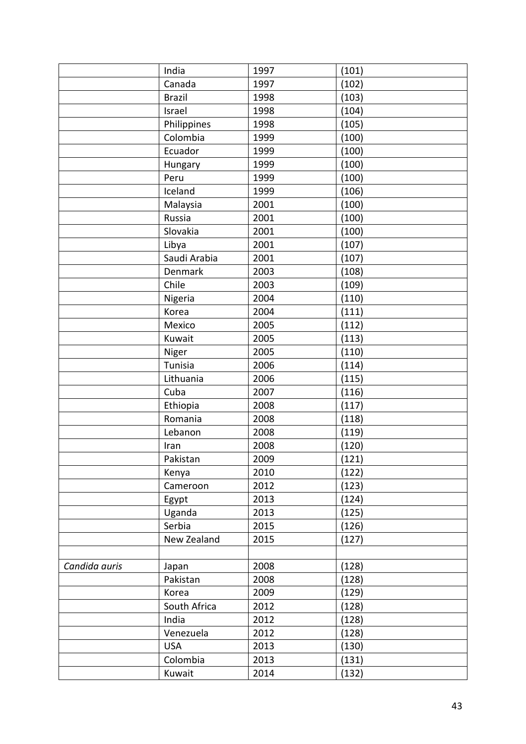|               | India         | 1997 | (101) |  |
|---------------|---------------|------|-------|--|
|               | Canada        | 1997 | (102) |  |
|               | <b>Brazil</b> | 1998 | (103) |  |
|               | Israel        | 1998 | (104) |  |
|               | Philippines   | 1998 | (105) |  |
|               | Colombia      | 1999 | (100) |  |
|               | Ecuador       | 1999 | (100) |  |
|               | Hungary       | 1999 | (100) |  |
|               | Peru          | 1999 | (100) |  |
|               | Iceland       | 1999 | (106) |  |
|               | Malaysia      | 2001 | (100) |  |
|               | Russia        | 2001 | (100) |  |
|               | Slovakia      | 2001 | (100) |  |
|               | Libya         | 2001 | (107) |  |
|               | Saudi Arabia  | 2001 | (107) |  |
|               | Denmark       | 2003 | (108) |  |
|               | Chile         | 2003 | (109) |  |
|               | Nigeria       | 2004 | (110) |  |
|               | Korea         | 2004 | (111) |  |
|               | Mexico        | 2005 | (112) |  |
|               | Kuwait        | 2005 | (113) |  |
|               | Niger         | 2005 | (110) |  |
|               | Tunisia       | 2006 | (114) |  |
|               | Lithuania     | 2006 | (115) |  |
|               | Cuba          | 2007 | (116) |  |
|               | Ethiopia      | 2008 | (117) |  |
|               | Romania       | 2008 | (118) |  |
|               | Lebanon       | 2008 | (119) |  |
|               | Iran          | 2008 | (120) |  |
|               | Pakistan      | 2009 | (121) |  |
|               | Kenya         | 2010 | (122) |  |
|               | Cameroon      | 2012 | (123) |  |
|               | Egypt         | 2013 | (124) |  |
|               | Uganda        | 2013 | (125) |  |
|               | Serbia        | 2015 | (126) |  |
|               | New Zealand   | 2015 | (127) |  |
|               |               |      |       |  |
| Candida auris | Japan         | 2008 | (128) |  |
|               | Pakistan      | 2008 | (128) |  |
|               | Korea         | 2009 | (129) |  |
|               | South Africa  | 2012 | (128) |  |
|               | India         | 2012 | (128) |  |
|               | Venezuela     | 2012 | (128) |  |
|               | <b>USA</b>    | 2013 | (130) |  |
|               | Colombia      | 2013 | (131) |  |
|               | Kuwait        | 2014 | (132) |  |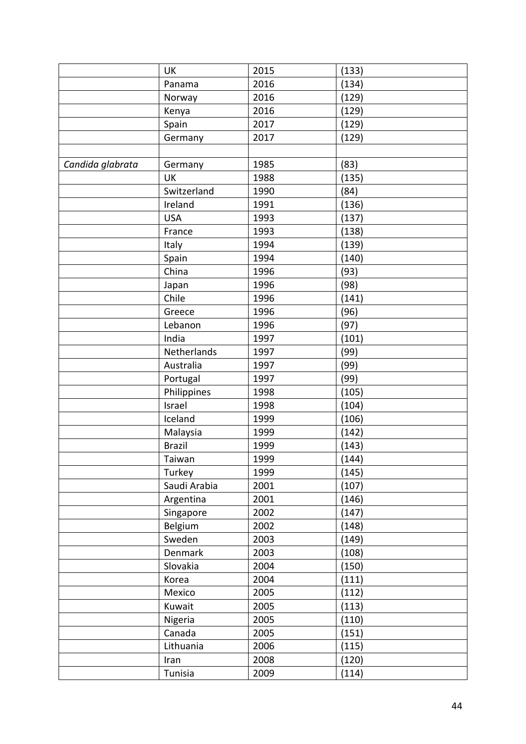|                  | UK            | 2015 | (133) |
|------------------|---------------|------|-------|
|                  | Panama        | 2016 | (134) |
|                  | Norway        | 2016 | (129) |
|                  | Kenya         | 2016 | (129) |
|                  | Spain         | 2017 | (129) |
|                  | Germany       | 2017 | (129) |
|                  |               |      |       |
| Candida glabrata | Germany       | 1985 | (83)  |
|                  | UK            | 1988 | (135) |
|                  | Switzerland   | 1990 | (84)  |
|                  | Ireland       | 1991 | (136) |
|                  | <b>USA</b>    | 1993 | (137) |
|                  | France        | 1993 | (138) |
|                  | Italy         | 1994 | (139) |
|                  | Spain         | 1994 | (140) |
|                  | China         | 1996 | (93)  |
|                  | Japan         | 1996 | (98)  |
|                  | Chile         | 1996 | (141) |
|                  | Greece        | 1996 | (96)  |
|                  | Lebanon       | 1996 | (97)  |
|                  | India         | 1997 | (101) |
|                  | Netherlands   | 1997 | (99)  |
|                  | Australia     | 1997 | (99)  |
|                  | Portugal      | 1997 | (99)  |
|                  | Philippines   | 1998 | (105) |
|                  | Israel        | 1998 | (104) |
|                  | Iceland       | 1999 | (106) |
|                  | Malaysia      | 1999 | (142) |
|                  | <b>Brazil</b> | 1999 | (143) |
|                  | Taiwan        | 1999 | (144) |
|                  | Turkey        | 1999 | (145) |
|                  | Saudi Arabia  | 2001 | (107) |
|                  | Argentina     | 2001 | (146) |
|                  | Singapore     | 2002 | (147) |
|                  | Belgium       | 2002 | (148) |
|                  | Sweden        | 2003 | (149) |
|                  | Denmark       | 2003 | (108) |
|                  | Slovakia      | 2004 | (150) |
|                  | Korea         | 2004 | (111) |
|                  | Mexico        | 2005 | (112) |
|                  | Kuwait        | 2005 | (113) |
|                  | Nigeria       | 2005 | (110) |
|                  | Canada        | 2005 | (151) |
|                  | Lithuania     | 2006 | (115) |
|                  | Iran          | 2008 | (120) |
|                  | Tunisia       | 2009 | (114) |
|                  |               |      |       |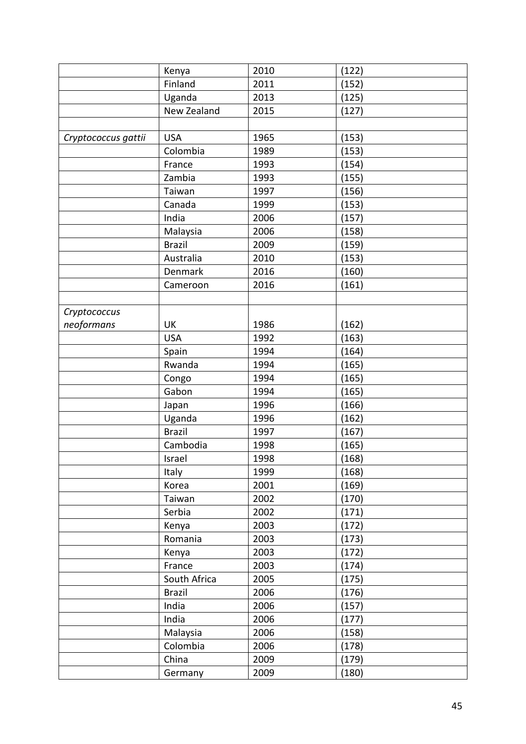|                     | Kenya          | 2010 | (122) |  |
|---------------------|----------------|------|-------|--|
|                     | Finland        | 2011 | (152) |  |
|                     | Uganda         | 2013 | (125) |  |
|                     | New Zealand    | 2015 | (127) |  |
|                     |                |      |       |  |
| Cryptococcus gattii | <b>USA</b>     | 1965 | (153) |  |
|                     | Colombia       | 1989 | (153) |  |
|                     | France         | 1993 | (154) |  |
|                     | Zambia         | 1993 | (155) |  |
|                     | Taiwan         | 1997 | (156) |  |
|                     | Canada         | 1999 | (153) |  |
|                     | India          | 2006 | (157) |  |
|                     | Malaysia       | 2006 | (158) |  |
|                     | <b>Brazil</b>  | 2009 | (159) |  |
|                     | Australia      | 2010 | (153) |  |
|                     | <b>Denmark</b> | 2016 | (160) |  |
|                     | Cameroon       | 2016 | (161) |  |
|                     |                |      |       |  |
| Cryptococcus        |                |      |       |  |
| neoformans          | UK             | 1986 | (162) |  |
|                     | <b>USA</b>     | 1992 | (163) |  |
|                     | Spain          | 1994 | (164) |  |
|                     | Rwanda         | 1994 | (165) |  |
|                     | Congo          | 1994 | (165) |  |
|                     | Gabon          | 1994 | (165) |  |
|                     | Japan          | 1996 | (166) |  |
|                     | Uganda         | 1996 | (162) |  |
|                     | <b>Brazil</b>  | 1997 | (167) |  |
|                     | Cambodia       | 1998 | (165) |  |
|                     | Israel         | 1998 | (168) |  |
|                     | Italy          | 1999 | (168) |  |
|                     | Korea          | 2001 | (169) |  |
|                     | Taiwan         | 2002 | (170) |  |
|                     | Serbia         | 2002 | (171) |  |
|                     | Kenya          | 2003 | (172) |  |
|                     | Romania        | 2003 | (173) |  |
|                     | Kenya          | 2003 | (172) |  |
|                     | France         | 2003 | (174) |  |
|                     | South Africa   | 2005 | (175) |  |
|                     | <b>Brazil</b>  | 2006 | (176) |  |
|                     | India          | 2006 | (157) |  |
|                     | India          | 2006 | (177) |  |
|                     | Malaysia       | 2006 | (158) |  |
|                     | Colombia       | 2006 | (178) |  |
|                     | China          | 2009 | (179) |  |
|                     | Germany        | 2009 | (180) |  |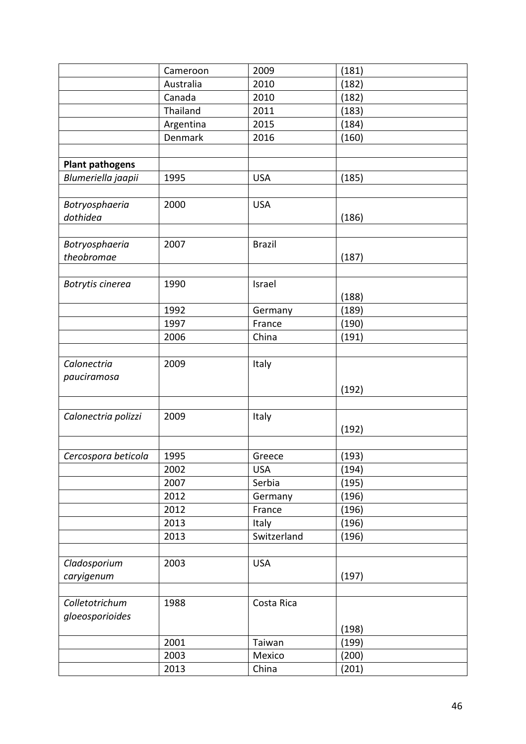|                        | Cameroon  | 2009          | (181) |
|------------------------|-----------|---------------|-------|
|                        | Australia | 2010          | (182) |
|                        | Canada    | 2010          | (182) |
|                        | Thailand  | 2011          | (183) |
|                        | Argentina | 2015          | (184) |
|                        | Denmark   | 2016          | (160) |
|                        |           |               |       |
| <b>Plant pathogens</b> |           |               |       |
| Blumeriella jaapii     | 1995      | <b>USA</b>    | (185) |
|                        |           |               |       |
| Botryosphaeria         | 2000      | <b>USA</b>    |       |
| dothidea               |           |               | (186) |
|                        |           |               |       |
| Botryosphaeria         | 2007      | <b>Brazil</b> |       |
| theobromae             |           |               | (187) |
|                        |           |               |       |
| Botrytis cinerea       | 1990      | Israel        |       |
|                        |           |               | (188) |
|                        | 1992      | Germany       | (189) |
|                        | 1997      | France        | (190) |
|                        | 2006      | China         | (191) |
|                        |           |               |       |
| Calonectria            | 2009      | Italy         |       |
| pauciramosa            |           |               |       |
|                        |           |               | (192) |
|                        |           |               |       |
| Calonectria polizzi    | 2009      | Italy         |       |
|                        |           |               | (192) |
|                        |           |               |       |
| Cercospora beticola    | 1995      | Greece        | (193) |
|                        | 2002      | <b>USA</b>    | (194) |
|                        | 2007      | Serbia        | (195) |
|                        | 2012      | Germany       | (196) |
|                        | 2012      | France        | (196) |
|                        | 2013      | Italy         | (196) |
|                        | 2013      | Switzerland   | (196) |
|                        |           |               |       |
| Cladosporium           | 2003      | <b>USA</b>    |       |
| caryigenum             |           |               | (197) |
|                        |           |               |       |
| Colletotrichum         | 1988      | Costa Rica    |       |
| gloeosporioides        |           |               |       |
|                        |           |               | (198) |
|                        | 2001      | Taiwan        | (199) |
|                        | 2003      | Mexico        | (200) |
|                        | 2013      | China         | (201) |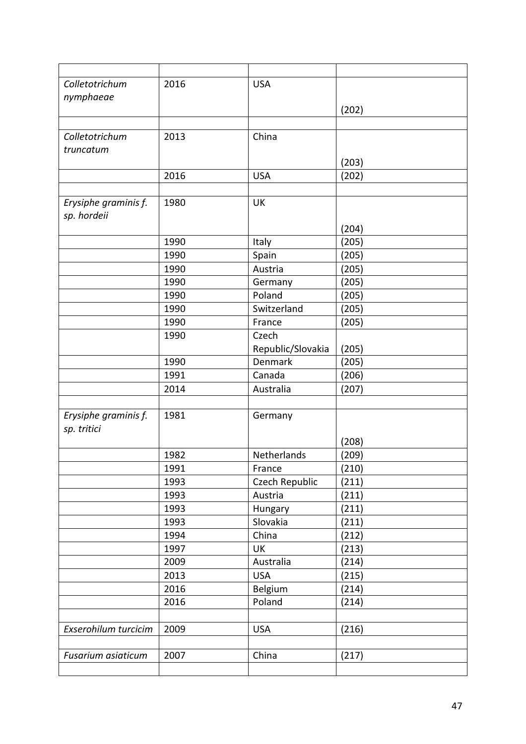| Colletotrichum       | 2016 | <b>USA</b>        |       |
|----------------------|------|-------------------|-------|
| nymphaeae            |      |                   |       |
|                      |      |                   | (202) |
|                      |      |                   |       |
| Colletotrichum       | 2013 | China             |       |
| truncatum            |      |                   |       |
|                      |      |                   | (203) |
|                      | 2016 | <b>USA</b>        | (202) |
|                      |      |                   |       |
| Erysiphe graminis f. | 1980 | <b>UK</b>         |       |
| sp. hordeii          |      |                   |       |
|                      |      |                   | (204) |
|                      | 1990 | Italy             | (205) |
|                      | 1990 | Spain             | (205) |
|                      | 1990 | Austria           | (205) |
|                      | 1990 | Germany           | (205) |
|                      | 1990 | Poland            | (205) |
|                      | 1990 | Switzerland       | (205) |
|                      | 1990 | France            | (205) |
|                      | 1990 | Czech             |       |
|                      |      | Republic/Slovakia | (205) |
|                      | 1990 | Denmark           | (205) |
|                      | 1991 | Canada            | (206) |
|                      | 2014 | Australia         | (207) |
|                      |      |                   |       |
| Erysiphe graminis f. | 1981 | Germany           |       |
| sp. tritici          |      |                   |       |
|                      |      |                   | (208) |
|                      | 1982 | Netherlands       | (209) |
|                      | 1991 | France            | (210) |
|                      | 1993 | Czech Republic    | (211) |
|                      | 1993 | Austria           | (211) |
|                      | 1993 | Hungary           | (211) |
|                      | 1993 | Slovakia          | (211) |
|                      | 1994 | China             | (212) |
|                      | 1997 | <b>UK</b>         | (213) |
|                      | 2009 | Australia         | (214) |
|                      | 2013 | <b>USA</b>        | (215) |
|                      | 2016 | Belgium           | (214) |
|                      | 2016 | Poland            | (214) |
|                      |      |                   |       |
| Exserohilum turcicim | 2009 | <b>USA</b>        | (216) |
|                      |      |                   |       |
| Fusarium asiaticum   | 2007 | China             | (217) |
|                      |      |                   |       |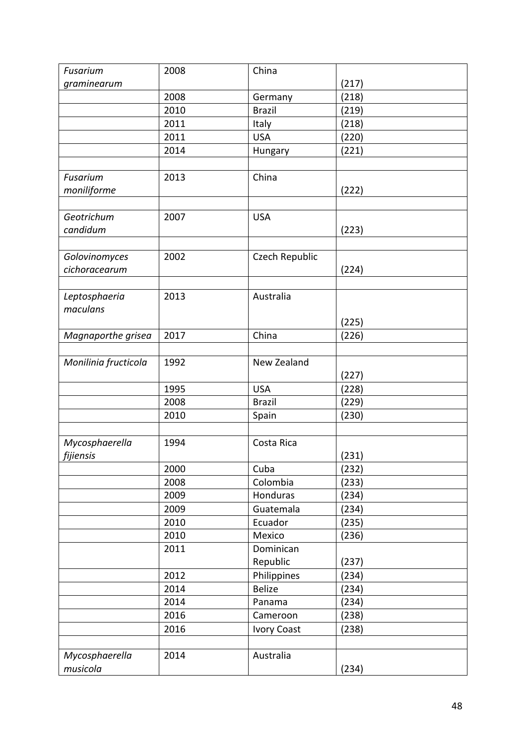| Fusarium             | 2008 | China              |       |
|----------------------|------|--------------------|-------|
| graminearum          |      |                    | (217) |
|                      | 2008 | Germany            | (218) |
|                      | 2010 | <b>Brazil</b>      | (219) |
|                      | 2011 | Italy              | (218) |
|                      | 2011 | <b>USA</b>         | (220) |
|                      | 2014 | Hungary            | (221) |
|                      |      |                    |       |
| Fusarium             | 2013 | China              |       |
| moniliforme          |      |                    | (222) |
|                      |      |                    |       |
| Geotrichum           | 2007 | <b>USA</b>         |       |
| candidum             |      |                    | (223) |
|                      |      |                    |       |
| Golovinomyces        | 2002 | Czech Republic     |       |
| cichoracearum        |      |                    | (224) |
|                      |      |                    |       |
| Leptosphaeria        | 2013 | Australia          |       |
| maculans             |      |                    |       |
|                      |      |                    | (225) |
| Magnaporthe grisea   | 2017 | China              | (226) |
|                      |      |                    |       |
| Monilinia fructicola | 1992 | New Zealand        |       |
|                      |      |                    | (227) |
|                      | 1995 | <b>USA</b>         | (228) |
|                      | 2008 | <b>Brazil</b>      | (229) |
|                      | 2010 | Spain              | (230) |
|                      |      |                    |       |
| Mycosphaerella       | 1994 | Costa Rica         |       |
| fijiensis            |      |                    | (231) |
|                      | 2000 | Cuba               | (232) |
|                      | 2008 | Colombia           | (233) |
|                      | 2009 | Honduras           | (234) |
|                      | 2009 | Guatemala          | (234) |
|                      | 2010 | Ecuador            | (235) |
|                      | 2010 | Mexico             | (236) |
|                      | 2011 | Dominican          |       |
|                      |      | Republic           | (237) |
|                      | 2012 | Philippines        | (234) |
|                      | 2014 | <b>Belize</b>      | (234) |
|                      | 2014 | Panama             | (234) |
|                      | 2016 | Cameroon           | (238) |
|                      | 2016 | <b>Ivory Coast</b> | (238) |
|                      |      |                    |       |
| Mycosphaerella       | 2014 | Australia          |       |
| musicola             |      |                    | (234) |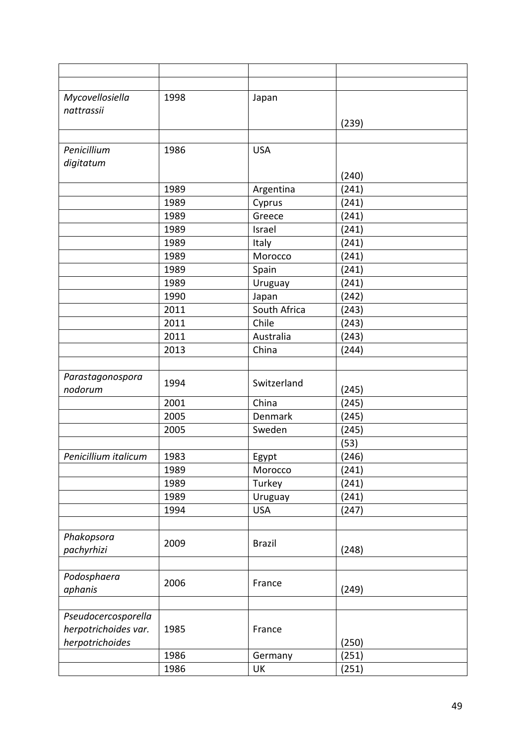| Mycovellosiella                         | 1998 | Japan         |       |  |
|-----------------------------------------|------|---------------|-------|--|
| nattrassii                              |      |               |       |  |
|                                         |      |               | (239) |  |
| Penicillium                             | 1986 | <b>USA</b>    |       |  |
| digitatum                               |      |               |       |  |
|                                         |      |               | (240) |  |
|                                         | 1989 | Argentina     | (241) |  |
|                                         | 1989 | Cyprus        | (241) |  |
|                                         | 1989 | Greece        | (241) |  |
|                                         | 1989 | Israel        | (241) |  |
|                                         | 1989 | Italy         | (241) |  |
|                                         | 1989 | Morocco       | (241) |  |
|                                         | 1989 | Spain         | (241) |  |
|                                         | 1989 | Uruguay       | (241) |  |
|                                         | 1990 | Japan         | (242) |  |
|                                         | 2011 | South Africa  | (243) |  |
|                                         | 2011 | Chile         | (243) |  |
|                                         | 2011 | Australia     | (243) |  |
|                                         | 2013 | China         | (244) |  |
|                                         |      |               |       |  |
| Parastagonospora                        | 1994 | Switzerland   |       |  |
| nodorum                                 |      |               | (245) |  |
|                                         | 2001 | China         | (245) |  |
|                                         | 2005 | Denmark       | (245) |  |
|                                         | 2005 | Sweden        | (245) |  |
|                                         |      |               | (53)  |  |
| Penicillium italicum                    | 1983 | <b>Egypt</b>  | (246) |  |
|                                         | 1989 | Morocco       | (241) |  |
|                                         | 1989 | Turkey        | (241) |  |
|                                         | 1989 | Uruguay       | (241) |  |
|                                         | 1994 | <b>USA</b>    | (247) |  |
|                                         |      |               |       |  |
| Phakopsora                              | 2009 | <b>Brazil</b> |       |  |
| pachyrhizi                              |      |               | (248) |  |
|                                         |      |               |       |  |
| Podosphaera                             | 2006 | France        |       |  |
| aphanis                                 |      |               | (249) |  |
|                                         |      |               |       |  |
| Pseudocercosporella                     |      |               |       |  |
| herpotrichoides var.<br>herpotrichoides | 1985 | France        | (250) |  |
|                                         | 1986 | Germany       | (251) |  |
|                                         | 1986 | UK            | (251) |  |
|                                         |      |               |       |  |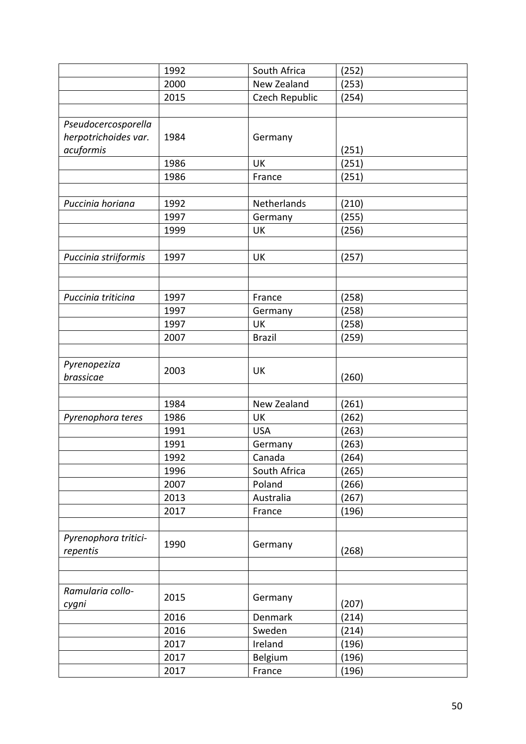|                      | 1992 | South Africa   | (252) |
|----------------------|------|----------------|-------|
|                      | 2000 | New Zealand    | (253) |
|                      | 2015 | Czech Republic | (254) |
|                      |      |                |       |
| Pseudocercosporella  |      |                |       |
| herpotrichoides var. | 1984 | Germany        |       |
| acuformis            |      |                | (251) |
|                      | 1986 | UK             | (251) |
|                      | 1986 | France         | (251) |
|                      |      |                |       |
| Puccinia horiana     | 1992 | Netherlands    | (210) |
|                      | 1997 | Germany        | (255) |
|                      | 1999 | <b>UK</b>      | (256) |
|                      |      |                |       |
| Puccinia striiformis | 1997 | UK             | (257) |
|                      |      |                |       |
|                      |      |                |       |
| Puccinia triticina   | 1997 | France         | (258) |
|                      | 1997 | Germany        | (258) |
|                      | 1997 | UK             | (258) |
|                      | 2007 | <b>Brazil</b>  | (259) |
|                      |      |                |       |
| Pyrenopeziza         |      |                |       |
| brassicae            | 2003 | UK             | (260) |
|                      |      |                |       |
|                      | 1984 | New Zealand    | (261) |
| Pyrenophora teres    | 1986 | UK             | (262) |
|                      | 1991 | <b>USA</b>     | (263) |
|                      | 1991 | Germany        | (263) |
|                      | 1992 | Canada         | (264) |
|                      | 1996 | South Africa   | (265) |
|                      | 2007 | Poland         | (266) |
|                      | 2013 | Australia      | (267) |
|                      | 2017 | France         | (196) |
|                      |      |                |       |
| Pyrenophora tritici- | 1990 |                |       |
| repentis             |      | Germany        | (268) |
|                      |      |                |       |
|                      |      |                |       |
| Ramularia collo-     | 2015 |                |       |
| cygni                |      | Germany        | (207) |
|                      | 2016 | Denmark        | (214) |
|                      | 2016 | Sweden         | (214) |
|                      | 2017 | Ireland        | (196) |
|                      | 2017 | Belgium        | (196) |
|                      | 2017 | France         | (196) |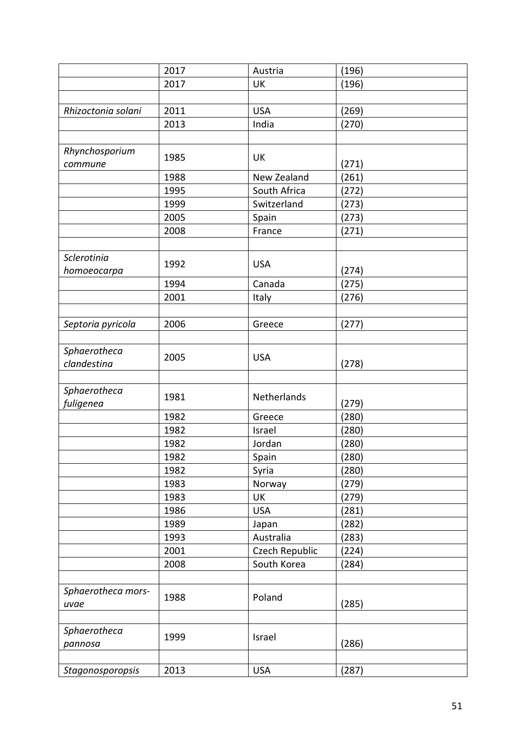|                             | 2017 | Austria        | (196) |
|-----------------------------|------|----------------|-------|
|                             | 2017 | UK             | (196) |
|                             |      |                |       |
| Rhizoctonia solani          | 2011 | <b>USA</b>     | (269) |
|                             | 2013 | India          | (270) |
|                             |      |                |       |
| Rhynchosporium<br>commune   | 1985 | <b>UK</b>      | (271) |
|                             | 1988 | New Zealand    | (261) |
|                             | 1995 | South Africa   | (272) |
|                             | 1999 | Switzerland    | (273) |
|                             | 2005 | Spain          | (273) |
|                             | 2008 | France         | (271) |
|                             |      |                |       |
| Sclerotinia<br>homoeocarpa  | 1992 | <b>USA</b>     | (274) |
|                             | 1994 | Canada         | (275) |
|                             | 2001 | Italy          | (276) |
|                             |      |                |       |
| Septoria pyricola           | 2006 | Greece         | (277) |
|                             |      |                |       |
| Sphaerotheca<br>clandestina | 2005 | <b>USA</b>     | (278) |
|                             |      |                |       |
| Sphaerotheca<br>fuligenea   | 1981 | Netherlands    | (279) |
|                             | 1982 | Greece         | (280) |
|                             | 1982 | Israel         | (280) |
|                             | 1982 | Jordan         | (280) |
|                             | 1982 | Spain          | (280) |
|                             | 1982 | Syria          | (280) |
|                             | 1983 | Norway         | (279) |
|                             | 1983 | UK             | (279) |
|                             | 1986 | <b>USA</b>     | (281) |
|                             | 1989 | Japan          | (282) |
|                             | 1993 | Australia      | (283) |
|                             | 2001 | Czech Republic | (224) |
|                             | 2008 | South Korea    | (284) |
|                             |      |                |       |
| Sphaerotheca mors-<br>uvae  | 1988 | Poland         | (285) |
|                             |      |                |       |
| Sphaerotheca<br>pannosa     | 1999 | Israel         | (286) |
|                             |      |                |       |
| Stagonosporopsis            | 2013 | <b>USA</b>     | (287) |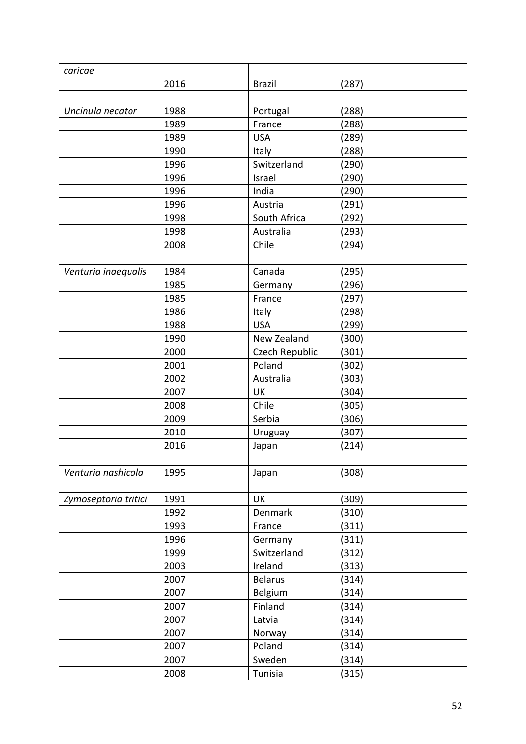| caricae              |      |                |       |
|----------------------|------|----------------|-------|
|                      | 2016 | <b>Brazil</b>  | (287) |
|                      |      |                |       |
| Uncinula necator     | 1988 | Portugal       | (288) |
|                      | 1989 | France         | (288) |
|                      | 1989 | <b>USA</b>     | (289) |
|                      | 1990 | Italy          | (288) |
|                      | 1996 | Switzerland    | (290) |
|                      | 1996 | Israel         | (290) |
|                      | 1996 | India          | (290) |
|                      | 1996 | Austria        | (291) |
|                      | 1998 | South Africa   | (292) |
|                      | 1998 | Australia      | (293) |
|                      | 2008 | Chile          | (294) |
|                      |      |                |       |
| Venturia inaequalis  | 1984 | Canada         | (295) |
|                      | 1985 | Germany        | (296) |
|                      | 1985 | France         | (297) |
|                      | 1986 | Italy          | (298) |
|                      | 1988 | <b>USA</b>     | (299) |
|                      | 1990 | New Zealand    | (300) |
|                      | 2000 | Czech Republic | (301) |
|                      | 2001 | Poland         | (302) |
|                      | 2002 | Australia      | (303) |
|                      | 2007 | <b>UK</b>      | (304) |
|                      | 2008 | Chile          | (305) |
|                      | 2009 | Serbia         | (306) |
|                      | 2010 | Uruguay        | (307) |
|                      | 2016 | Japan          | (214) |
|                      |      |                |       |
| Venturia nashicola   | 1995 | Japan          | (308) |
|                      |      |                |       |
| Zymoseptoria tritici | 1991 | UK             | (309) |
|                      | 1992 | Denmark        | (310) |
|                      | 1993 | France         | (311) |
|                      | 1996 | Germany        | (311) |
|                      | 1999 | Switzerland    | (312) |
|                      | 2003 | Ireland        | (313) |
|                      | 2007 | <b>Belarus</b> | (314) |
|                      | 2007 | Belgium        | (314) |
|                      | 2007 | Finland        | (314) |
|                      | 2007 | Latvia         | (314) |
|                      | 2007 | Norway         | (314) |
|                      | 2007 | Poland         | (314) |
|                      | 2007 | Sweden         | (314) |
|                      | 2008 | Tunisia        | (315) |
|                      |      |                |       |